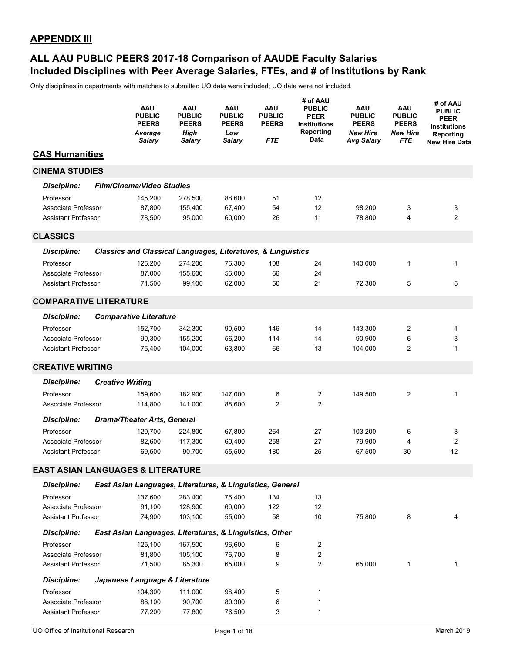### **Included Disciplines with Peer Average Salaries, FTEs, and # of Institutions by Rank ALL AAU PUBLIC PEERS 2017-18 Comparison of AAUDE Faculty Salaries**

|                                              | AAU<br><b>PUBLIC</b><br><b>PEERS</b><br>Average<br><b>Salary</b>        | <b>AAU</b><br><b>PUBLIC</b><br><b>PEERS</b><br>High<br><b>Salary</b> | AAU<br><b>PUBLIC</b><br><b>PEERS</b><br>Low<br><b>Salary</b> | AAU<br><b>PUBLIC</b><br><b>PEERS</b><br><b>FTE</b> | # of AAU<br><b>PUBLIC</b><br><b>PEER</b><br><b>Institutions</b><br>Reporting<br>Data | <b>AAU</b><br><b>PUBLIC</b><br><b>PEERS</b><br><b>New Hire</b><br><b>Avg Salary</b> | AAU<br><b>PUBLIC</b><br><b>PEERS</b><br><b>New Hire</b><br><b>FTE</b> | # of AAU<br><b>PUBLIC</b><br>PEER<br><b>Institutions</b><br>Reporting<br><b>New Hire Data</b> |
|----------------------------------------------|-------------------------------------------------------------------------|----------------------------------------------------------------------|--------------------------------------------------------------|----------------------------------------------------|--------------------------------------------------------------------------------------|-------------------------------------------------------------------------------------|-----------------------------------------------------------------------|-----------------------------------------------------------------------------------------------|
| <b>CAS Humanities</b>                        |                                                                         |                                                                      |                                                              |                                                    |                                                                                      |                                                                                     |                                                                       |                                                                                               |
| <b>CINEMA STUDIES</b>                        |                                                                         |                                                                      |                                                              |                                                    |                                                                                      |                                                                                     |                                                                       |                                                                                               |
| <b>Discipline:</b>                           | <b>Film/Cinema/Video Studies</b>                                        |                                                                      |                                                              |                                                    |                                                                                      |                                                                                     |                                                                       |                                                                                               |
| Professor                                    | 145,200                                                                 | 278,500                                                              | 88,600                                                       | 51                                                 | 12                                                                                   |                                                                                     |                                                                       |                                                                                               |
| Associate Professor                          | 87,800                                                                  | 155,400                                                              | 67,400                                                       | 54                                                 | 12                                                                                   | 98,200                                                                              | 3                                                                     | 3                                                                                             |
| <b>Assistant Professor</b>                   | 78,500                                                                  | 95,000                                                               | 60,000                                                       | 26                                                 | 11                                                                                   | 78,800                                                                              | 4                                                                     | $\overline{2}$                                                                                |
| <b>CLASSICS</b>                              |                                                                         |                                                                      |                                                              |                                                    |                                                                                      |                                                                                     |                                                                       |                                                                                               |
| <b>Discipline:</b>                           | <b>Classics and Classical Languages, Literatures, &amp; Linguistics</b> |                                                                      |                                                              |                                                    |                                                                                      |                                                                                     |                                                                       |                                                                                               |
| Professor                                    | 125,200                                                                 | 274,200                                                              | 76,300                                                       | 108                                                | 24                                                                                   | 140,000                                                                             | 1                                                                     | 1                                                                                             |
| Associate Professor                          | 87,000                                                                  | 155,600                                                              | 56,000                                                       | 66                                                 | 24                                                                                   |                                                                                     |                                                                       |                                                                                               |
| <b>Assistant Professor</b>                   | 71,500                                                                  | 99,100                                                               | 62,000                                                       | 50                                                 | 21                                                                                   | 72,300                                                                              | 5                                                                     | 5                                                                                             |
| <b>COMPARATIVE LITERATURE</b>                |                                                                         |                                                                      |                                                              |                                                    |                                                                                      |                                                                                     |                                                                       |                                                                                               |
| <b>Discipline:</b>                           | <b>Comparative Literature</b>                                           |                                                                      |                                                              |                                                    |                                                                                      |                                                                                     |                                                                       |                                                                                               |
| Professor                                    | 152,700                                                                 | 342,300                                                              | 90,500                                                       | 146                                                | 14                                                                                   | 143,300                                                                             | 2                                                                     | 1                                                                                             |
| Associate Professor                          | 90,300                                                                  | 155,200                                                              | 56,200                                                       | 114                                                | 14                                                                                   | 90,900                                                                              | 6                                                                     | 3                                                                                             |
| <b>Assistant Professor</b>                   | 75,400                                                                  | 104,000                                                              | 63,800                                                       | 66                                                 | 13                                                                                   | 104,000                                                                             | 2                                                                     | $\mathbf{1}$                                                                                  |
| <b>CREATIVE WRITING</b>                      |                                                                         |                                                                      |                                                              |                                                    |                                                                                      |                                                                                     |                                                                       |                                                                                               |
| <b>Discipline:</b>                           | <b>Creative Writing</b>                                                 |                                                                      |                                                              |                                                    |                                                                                      |                                                                                     |                                                                       |                                                                                               |
| Professor                                    | 159,600                                                                 | 182,900                                                              | 147,000                                                      | 6                                                  | $\overline{c}$                                                                       | 149,500                                                                             | 2                                                                     | 1                                                                                             |
| Associate Professor                          | 114,800                                                                 | 141,000                                                              | 88,600                                                       | 2                                                  | $\overline{2}$                                                                       |                                                                                     |                                                                       |                                                                                               |
| <b>Discipline:</b>                           | <b>Drama/Theater Arts, General</b>                                      |                                                                      |                                                              |                                                    |                                                                                      |                                                                                     |                                                                       |                                                                                               |
| Professor                                    | 120,700                                                                 | 224,800                                                              | 67,800                                                       | 264                                                | 27                                                                                   | 103,200                                                                             | 6                                                                     | 3                                                                                             |
| Associate Professor                          | 82,600                                                                  | 117,300                                                              | 60,400                                                       | 258                                                | 27                                                                                   | 79,900                                                                              | 4                                                                     | 2                                                                                             |
| <b>Assistant Professor</b>                   | 69,500                                                                  | 90,700                                                               | 55,500                                                       | 180                                                | 25                                                                                   | 67,500                                                                              | 30                                                                    | 12                                                                                            |
| <b>EAST ASIAN LANGUAGES &amp; LITERATURE</b> |                                                                         |                                                                      |                                                              |                                                    |                                                                                      |                                                                                     |                                                                       |                                                                                               |
| <b>Discipline:</b>                           | East Asian Languages, Literatures, & Linguistics, General               |                                                                      |                                                              |                                                    |                                                                                      |                                                                                     |                                                                       |                                                                                               |
| Professor                                    | 137,600                                                                 | 283,400                                                              | 76,400                                                       | 134                                                | 13                                                                                   |                                                                                     |                                                                       |                                                                                               |
| Associate Professor                          | 91,100                                                                  | 128,900                                                              | 60,000                                                       | 122                                                | 12                                                                                   |                                                                                     |                                                                       |                                                                                               |
| <b>Assistant Professor</b>                   | 74,900                                                                  | 103,100                                                              | 55,000                                                       | 58                                                 | 10                                                                                   | 75,800                                                                              | 8                                                                     | 4                                                                                             |
| <b>Discipline:</b>                           | East Asian Languages, Literatures, & Linguistics, Other                 |                                                                      |                                                              |                                                    |                                                                                      |                                                                                     |                                                                       |                                                                                               |
| Professor                                    | 125,100                                                                 | 167,500                                                              | 96,600                                                       | 6                                                  | 2                                                                                    |                                                                                     |                                                                       |                                                                                               |
| Associate Professor                          | 81,800                                                                  | 105,100                                                              | 76,700                                                       | 8                                                  | 2                                                                                    |                                                                                     |                                                                       |                                                                                               |
| <b>Assistant Professor</b>                   | 71,500                                                                  | 85,300                                                               | 65,000                                                       | 9                                                  | $\overline{c}$                                                                       | 65,000                                                                              | 1                                                                     | 1                                                                                             |
| <b>Discipline:</b>                           | Japanese Language & Literature                                          |                                                                      |                                                              |                                                    |                                                                                      |                                                                                     |                                                                       |                                                                                               |
| Professor                                    | 104,300                                                                 | 111,000                                                              | 98,400                                                       | 5                                                  | 1                                                                                    |                                                                                     |                                                                       |                                                                                               |
| Associate Professor                          | 88,100                                                                  | 90,700                                                               | 80,300                                                       | 6                                                  | 1                                                                                    |                                                                                     |                                                                       |                                                                                               |
| <b>Assistant Professor</b>                   | 77,200                                                                  | 77,800                                                               | 76,500                                                       | 3                                                  | 1                                                                                    |                                                                                     |                                                                       |                                                                                               |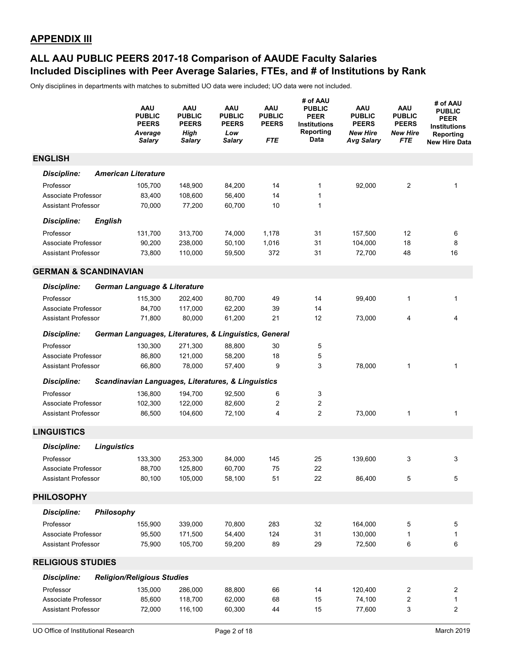### **Included Disciplines with Peer Average Salaries, FTEs, and # of Institutions by Rank ALL AAU PUBLIC PEERS 2017-18 Comparison of AAUDE Faculty Salaries**

|                                  |                    | AAU<br><b>PUBLIC</b><br><b>PEERS</b><br>Average<br><b>Salary</b> | AAU<br><b>PUBLIC</b><br><b>PEERS</b><br><b>High</b><br><b>Salary</b> | AAU<br><b>PUBLIC</b><br><b>PEERS</b><br>Low<br><b>Salary</b> | AAU<br><b>PUBLIC</b><br><b>PEERS</b><br>FTE | # of AAU<br><b>PUBLIC</b><br><b>PEER</b><br>Institutions<br>Reporting<br>Data | AAU<br><b>PUBLIC</b><br><b>PEERS</b><br><b>New Hire</b><br><b>Avg Salary</b> | AAU<br><b>PUBLIC</b><br><b>PEERS</b><br><b>New Hire</b><br><b>FTE</b> | # of AAU<br><b>PUBLIC</b><br><b>PEER</b><br><b>Institutions</b><br>Reporting<br><b>New Hire Data</b> |
|----------------------------------|--------------------|------------------------------------------------------------------|----------------------------------------------------------------------|--------------------------------------------------------------|---------------------------------------------|-------------------------------------------------------------------------------|------------------------------------------------------------------------------|-----------------------------------------------------------------------|------------------------------------------------------------------------------------------------------|
| <b>ENGLISH</b>                   |                    |                                                                  |                                                                      |                                                              |                                             |                                                                               |                                                                              |                                                                       |                                                                                                      |
| <b>Discipline:</b>               |                    | <b>American Literature</b>                                       |                                                                      |                                                              |                                             |                                                                               |                                                                              |                                                                       |                                                                                                      |
| Professor                        |                    | 105,700                                                          | 148,900                                                              | 84,200                                                       | 14                                          | $\mathbf{1}$                                                                  | 92,000                                                                       | 2                                                                     | 1                                                                                                    |
| Associate Professor              |                    | 83,400                                                           | 108,600                                                              | 56,400                                                       | 14                                          | $\mathbf{1}$                                                                  |                                                                              |                                                                       |                                                                                                      |
| <b>Assistant Professor</b>       |                    | 70,000                                                           | 77,200                                                               | 60,700                                                       | 10                                          | $\mathbf{1}$                                                                  |                                                                              |                                                                       |                                                                                                      |
| <b>Discipline:</b>               | <b>English</b>     |                                                                  |                                                                      |                                                              |                                             |                                                                               |                                                                              |                                                                       |                                                                                                      |
| Professor                        |                    | 131,700                                                          | 313,700                                                              | 74,000                                                       | 1,178                                       | 31                                                                            | 157,500                                                                      | 12                                                                    | 6                                                                                                    |
| Associate Professor              |                    | 90,200                                                           | 238,000                                                              | 50,100                                                       | 1,016                                       | 31                                                                            | 104,000                                                                      | 18                                                                    | 8                                                                                                    |
| <b>Assistant Professor</b>       |                    | 73,800                                                           | 110,000                                                              | 59,500                                                       | 372                                         | 31                                                                            | 72,700                                                                       | 48                                                                    | 16                                                                                                   |
| <b>GERMAN &amp; SCANDINAVIAN</b> |                    |                                                                  |                                                                      |                                                              |                                             |                                                                               |                                                                              |                                                                       |                                                                                                      |
| <b>Discipline:</b>               |                    | German Language & Literature                                     |                                                                      |                                                              |                                             |                                                                               |                                                                              |                                                                       |                                                                                                      |
| Professor                        |                    | 115,300                                                          | 202,400                                                              | 80,700                                                       | 49                                          | 14                                                                            | 99,400                                                                       | 1                                                                     | 1                                                                                                    |
| Associate Professor              |                    | 84,700                                                           | 117,000                                                              | 62,200                                                       | 39                                          | 14                                                                            |                                                                              |                                                                       |                                                                                                      |
| <b>Assistant Professor</b>       |                    | 71,800                                                           | 80,000                                                               | 61,200                                                       | 21                                          | 12                                                                            | 73,000                                                                       | 4                                                                     | 4                                                                                                    |
| <b>Discipline:</b>               |                    | German Languages, Literatures, & Linguistics, General            |                                                                      |                                                              |                                             |                                                                               |                                                                              |                                                                       |                                                                                                      |
| Professor                        |                    | 130,300                                                          | 271,300                                                              | 88,800                                                       | 30                                          | 5                                                                             |                                                                              |                                                                       |                                                                                                      |
| Associate Professor              |                    | 86,800                                                           | 121,000                                                              | 58,200                                                       | 18                                          | 5                                                                             |                                                                              |                                                                       |                                                                                                      |
| <b>Assistant Professor</b>       |                    | 66,800                                                           | 78,000                                                               | 57,400                                                       | 9                                           | 3                                                                             | 78,000                                                                       | 1                                                                     | 1                                                                                                    |
| <b>Discipline:</b>               |                    | Scandinavian Languages, Literatures, & Linguistics               |                                                                      |                                                              |                                             |                                                                               |                                                                              |                                                                       |                                                                                                      |
| Professor                        |                    | 136,800                                                          | 194,700                                                              | 92,500                                                       | 6                                           | 3                                                                             |                                                                              |                                                                       |                                                                                                      |
| Associate Professor              |                    | 102,300                                                          | 122,000                                                              | 82,600                                                       | $\overline{c}$                              | 2                                                                             |                                                                              |                                                                       |                                                                                                      |
| <b>Assistant Professor</b>       |                    | 86,500                                                           | 104,600                                                              | 72,100                                                       | 4                                           | $\overline{c}$                                                                | 73,000                                                                       | 1                                                                     | $\mathbf{1}$                                                                                         |
| <b>LINGUISTICS</b>               |                    |                                                                  |                                                                      |                                                              |                                             |                                                                               |                                                                              |                                                                       |                                                                                                      |
| <b>Discipline:</b>               | <b>Linguistics</b> |                                                                  |                                                                      |                                                              |                                             |                                                                               |                                                                              |                                                                       |                                                                                                      |
| Professor                        |                    | 133,300                                                          | 253,300                                                              | 84,000                                                       | 145                                         | 25                                                                            | 139,600                                                                      | 3                                                                     | 3                                                                                                    |
| Associate Professor              |                    | 88,700                                                           | 125,800                                                              | 60,700                                                       | 75                                          | 22                                                                            |                                                                              |                                                                       |                                                                                                      |
| <b>Assistant Professor</b>       |                    | 80,100                                                           | 105,000                                                              | 58,100                                                       | 51                                          | 22                                                                            | 86,400                                                                       | 5                                                                     | 5                                                                                                    |
| <b>PHILOSOPHY</b>                |                    |                                                                  |                                                                      |                                                              |                                             |                                                                               |                                                                              |                                                                       |                                                                                                      |
| <b>Discipline:</b>               | Philosophy         |                                                                  |                                                                      |                                                              |                                             |                                                                               |                                                                              |                                                                       |                                                                                                      |
| Professor                        |                    | 155,900                                                          | 339,000                                                              | 70,800                                                       | 283                                         | 32                                                                            | 164,000                                                                      | 5                                                                     | 5                                                                                                    |
| Associate Professor              |                    | 95,500                                                           | 171,500                                                              | 54,400                                                       | 124                                         | 31                                                                            | 130,000                                                                      | 1                                                                     | 1                                                                                                    |
| <b>Assistant Professor</b>       |                    | 75,900                                                           | 105,700                                                              | 59,200                                                       | 89                                          | 29                                                                            | 72,500                                                                       | 6                                                                     | 6                                                                                                    |
| <b>RELIGIOUS STUDIES</b>         |                    |                                                                  |                                                                      |                                                              |                                             |                                                                               |                                                                              |                                                                       |                                                                                                      |
| <b>Discipline:</b>               |                    | <b>Religion/Religious Studies</b>                                |                                                                      |                                                              |                                             |                                                                               |                                                                              |                                                                       |                                                                                                      |
| Professor                        |                    | 135,000                                                          | 286,000                                                              | 88,800                                                       | 66                                          | 14                                                                            | 120,400                                                                      | 2                                                                     | $\overline{2}$                                                                                       |
| Associate Professor              |                    | 85,600                                                           | 118,700                                                              | 62,000                                                       | 68                                          | 15                                                                            | 74,100                                                                       | 2                                                                     | 1                                                                                                    |
| <b>Assistant Professor</b>       |                    | 72,000                                                           | 116,100                                                              | 60,300                                                       | 44                                          | 15                                                                            | 77,600                                                                       | 3                                                                     | $\overline{2}$                                                                                       |
|                                  |                    |                                                                  |                                                                      |                                                              |                                             |                                                                               |                                                                              |                                                                       |                                                                                                      |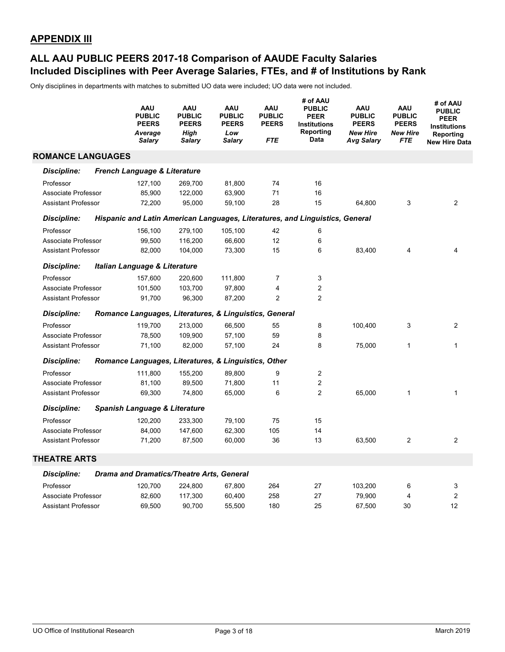### **Included Disciplines with Peer Average Salaries, FTEs, and # of Institutions by Rank ALL AAU PUBLIC PEERS 2017-18 Comparison of AAUDE Faculty Salaries**

|                            | <b>AAU</b><br><b>PUBLIC</b><br><b>PEERS</b><br>Average<br><b>Salary</b> | <b>AAU</b><br><b>PUBLIC</b><br><b>PEERS</b><br>High<br><b>Salary</b> | AAU<br><b>PUBLIC</b><br><b>PEERS</b><br>Low<br><b>Salary</b> | <b>AAU</b><br><b>PUBLIC</b><br><b>PEERS</b><br><b>FTE</b> | # of AAU<br><b>PUBLIC</b><br><b>PEER</b><br><b>Institutions</b><br>Reporting<br>Data | AAU<br><b>PUBLIC</b><br><b>PEERS</b><br><b>New Hire</b><br><b>Avg Salary</b> | <b>AAU</b><br><b>PUBLIC</b><br><b>PEERS</b><br><b>New Hire</b><br><b>FTE</b> | # of AAU<br><b>PUBLIC</b><br><b>PEER</b><br><b>Institutions</b><br>Reporting<br><b>New Hire Data</b> |
|----------------------------|-------------------------------------------------------------------------|----------------------------------------------------------------------|--------------------------------------------------------------|-----------------------------------------------------------|--------------------------------------------------------------------------------------|------------------------------------------------------------------------------|------------------------------------------------------------------------------|------------------------------------------------------------------------------------------------------|
| <b>ROMANCE LANGUAGES</b>   |                                                                         |                                                                      |                                                              |                                                           |                                                                                      |                                                                              |                                                                              |                                                                                                      |
| <b>Discipline:</b>         | French Language & Literature                                            |                                                                      |                                                              |                                                           |                                                                                      |                                                                              |                                                                              |                                                                                                      |
| Professor                  | 127,100                                                                 | 269.700                                                              | 81,800                                                       | 74                                                        | 16                                                                                   |                                                                              |                                                                              |                                                                                                      |
| Associate Professor        | 85,900                                                                  | 122,000                                                              | 63,900                                                       | 71                                                        | 16                                                                                   |                                                                              |                                                                              |                                                                                                      |
| <b>Assistant Professor</b> | 72,200                                                                  | 95,000                                                               | 59,100                                                       | 28                                                        | 15                                                                                   | 64,800                                                                       | 3                                                                            | $\overline{2}$                                                                                       |
| <b>Discipline:</b>         |                                                                         |                                                                      |                                                              |                                                           | Hispanic and Latin American Languages, Literatures, and Linguistics, General         |                                                                              |                                                                              |                                                                                                      |
| Professor                  | 156,100                                                                 | 279,100                                                              | 105,100                                                      | 42                                                        | 6                                                                                    |                                                                              |                                                                              |                                                                                                      |
| Associate Professor        | 99,500                                                                  | 116,200                                                              | 66,600                                                       | 12                                                        | 6                                                                                    |                                                                              |                                                                              |                                                                                                      |
| <b>Assistant Professor</b> | 82,000                                                                  | 104,000                                                              | 73,300                                                       | 15                                                        | 6                                                                                    | 83,400                                                                       | $\overline{4}$                                                               | 4                                                                                                    |
| <b>Discipline:</b>         | Italian Language & Literature                                           |                                                                      |                                                              |                                                           |                                                                                      |                                                                              |                                                                              |                                                                                                      |
| Professor                  | 157,600                                                                 | 220,600                                                              | 111,800                                                      | 7                                                         | $\ensuremath{\mathsf{3}}$                                                            |                                                                              |                                                                              |                                                                                                      |
| Associate Professor        | 101,500                                                                 | 103,700                                                              | 97,800                                                       | $\overline{\mathbf{4}}$                                   | $\overline{2}$                                                                       |                                                                              |                                                                              |                                                                                                      |
| <b>Assistant Professor</b> | 91.700                                                                  | 96,300                                                               | 87,200                                                       | $\overline{2}$                                            | $\overline{2}$                                                                       |                                                                              |                                                                              |                                                                                                      |
| <b>Discipline:</b>         | Romance Languages, Literatures, & Linguistics, General                  |                                                                      |                                                              |                                                           |                                                                                      |                                                                              |                                                                              |                                                                                                      |
| Professor                  | 119,700                                                                 | 213,000                                                              | 66,500                                                       | 55                                                        | 8                                                                                    | 100,400                                                                      | 3                                                                            | $\overline{2}$                                                                                       |
| Associate Professor        | 78,500                                                                  | 109,900                                                              | 57,100                                                       | 59                                                        | 8                                                                                    |                                                                              |                                                                              |                                                                                                      |
| <b>Assistant Professor</b> | 71,100                                                                  | 82,000                                                               | 57,100                                                       | 24                                                        | 8                                                                                    | 75,000                                                                       | $\mathbf{1}$                                                                 | 1                                                                                                    |
| <b>Discipline:</b>         | Romance Languages, Literatures, & Linguistics, Other                    |                                                                      |                                                              |                                                           |                                                                                      |                                                                              |                                                                              |                                                                                                      |
| Professor                  | 111,800                                                                 | 155,200                                                              | 89,800                                                       | 9                                                         | $\overline{2}$                                                                       |                                                                              |                                                                              |                                                                                                      |
| Associate Professor        | 81,100                                                                  | 89,500                                                               | 71,800                                                       | 11                                                        | $\sqrt{2}$                                                                           |                                                                              |                                                                              |                                                                                                      |
| <b>Assistant Professor</b> | 69,300                                                                  | 74,800                                                               | 65,000                                                       | 6                                                         | $\overline{2}$                                                                       | 65,000                                                                       | $\mathbf{1}$                                                                 | 1                                                                                                    |
| Discipline:                | Spanish Language & Literature                                           |                                                                      |                                                              |                                                           |                                                                                      |                                                                              |                                                                              |                                                                                                      |
| Professor                  | 120,200                                                                 | 233,300                                                              | 79,100                                                       | 75                                                        | 15                                                                                   |                                                                              |                                                                              |                                                                                                      |
| Associate Professor        | 84,000                                                                  | 147,600                                                              | 62,300                                                       | 105                                                       | 14                                                                                   |                                                                              |                                                                              |                                                                                                      |
| <b>Assistant Professor</b> | 71,200                                                                  | 87,500                                                               | 60,000                                                       | 36                                                        | 13                                                                                   | 63,500                                                                       | $\overline{2}$                                                               | $\overline{2}$                                                                                       |
| <b>THEATRE ARTS</b>        |                                                                         |                                                                      |                                                              |                                                           |                                                                                      |                                                                              |                                                                              |                                                                                                      |
| Discipline:                | <b>Drama and Dramatics/Theatre Arts, General</b>                        |                                                                      |                                                              |                                                           |                                                                                      |                                                                              |                                                                              |                                                                                                      |
| Professor                  | 120,700                                                                 | 224,800                                                              | 67,800                                                       | 264                                                       | 27                                                                                   | 103,200                                                                      | 6                                                                            | 3                                                                                                    |
| Associate Professor        | 82,600                                                                  | 117,300                                                              | 60,400                                                       | 258                                                       | 27                                                                                   | 79,900                                                                       | 4                                                                            | $\overline{2}$                                                                                       |
| <b>Assistant Professor</b> | 69,500                                                                  | 90,700                                                               | 55,500                                                       | 180                                                       | 25                                                                                   | 67,500                                                                       | 30                                                                           | 12                                                                                                   |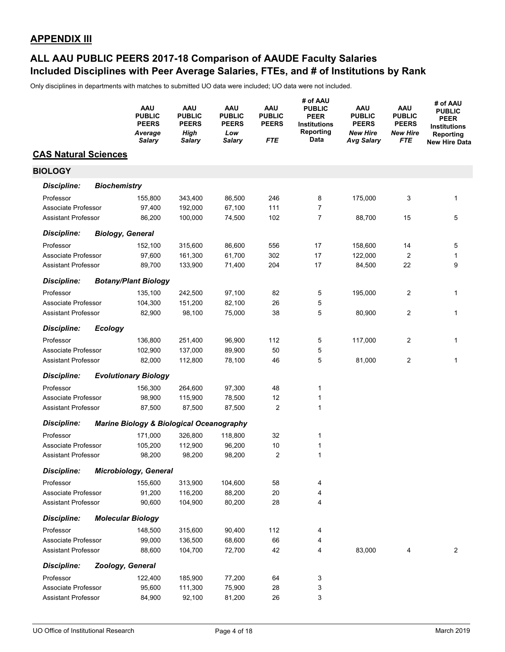### **Included Disciplines with Peer Average Salaries, FTEs, and # of Institutions by Rank ALL AAU PUBLIC PEERS 2017-18 Comparison of AAUDE Faculty Salaries**

|                             |                     | AAU<br><b>PUBLIC</b><br><b>PEERS</b><br>Average<br>Salary | AAU<br><b>PUBLIC</b><br><b>PEERS</b><br>High<br><b>Salary</b> | <b>AAU</b><br><b>PUBLIC</b><br><b>PEERS</b><br>Low<br><b>Salary</b> | <b>AAU</b><br><b>PUBLIC</b><br><b>PEERS</b><br><b>FTE</b> | # of AAU<br><b>PUBLIC</b><br><b>PEER</b><br><b>Institutions</b><br>Reporting<br>Data | AAU<br><b>PUBLIC</b><br><b>PEERS</b><br><b>New Hire</b><br><b>Avg Salary</b> | <b>AAU</b><br><b>PUBLIC</b><br><b>PEERS</b><br><b>New Hire</b><br>FTE | # of AAU<br><b>PUBLIC</b><br><b>PEER</b><br><b>Institutions</b><br>Reporting<br><b>New Hire Data</b> |
|-----------------------------|---------------------|-----------------------------------------------------------|---------------------------------------------------------------|---------------------------------------------------------------------|-----------------------------------------------------------|--------------------------------------------------------------------------------------|------------------------------------------------------------------------------|-----------------------------------------------------------------------|------------------------------------------------------------------------------------------------------|
| <b>CAS Natural Sciences</b> |                     |                                                           |                                                               |                                                                     |                                                           |                                                                                      |                                                                              |                                                                       |                                                                                                      |
| <b>BIOLOGY</b>              |                     |                                                           |                                                               |                                                                     |                                                           |                                                                                      |                                                                              |                                                                       |                                                                                                      |
| <b>Discipline:</b>          | <b>Biochemistry</b> |                                                           |                                                               |                                                                     |                                                           |                                                                                      |                                                                              |                                                                       |                                                                                                      |
| Professor                   |                     | 155,800                                                   | 343,400                                                       | 86,500                                                              | 246                                                       | 8                                                                                    | 175,000                                                                      | 3                                                                     | 1                                                                                                    |
| Associate Professor         |                     | 97,400                                                    | 192,000                                                       | 67,100                                                              | 111                                                       | $\overline{7}$                                                                       |                                                                              |                                                                       |                                                                                                      |
| <b>Assistant Professor</b>  |                     | 86,200                                                    | 100,000                                                       | 74,500                                                              | 102                                                       | $\overline{7}$                                                                       | 88,700                                                                       | 15                                                                    | 5                                                                                                    |
| <b>Discipline:</b>          |                     | <b>Biology, General</b>                                   |                                                               |                                                                     |                                                           |                                                                                      |                                                                              |                                                                       |                                                                                                      |
| Professor                   |                     | 152,100                                                   | 315,600                                                       | 86,600                                                              | 556                                                       | 17                                                                                   | 158,600                                                                      | 14                                                                    | 5                                                                                                    |
| Associate Professor         |                     | 97,600                                                    | 161,300                                                       | 61,700                                                              | 302                                                       | 17                                                                                   | 122,000                                                                      | $\overline{2}$                                                        | 1                                                                                                    |
| <b>Assistant Professor</b>  |                     | 89,700                                                    | 133,900                                                       | 71,400                                                              | 204                                                       | 17                                                                                   | 84,500                                                                       | 22                                                                    | 9                                                                                                    |
| <b>Discipline:</b>          |                     | <b>Botany/Plant Biology</b>                               |                                                               |                                                                     |                                                           |                                                                                      |                                                                              |                                                                       |                                                                                                      |
| Professor                   |                     | 135,100                                                   | 242,500                                                       | 97,100                                                              | 82                                                        | 5                                                                                    | 195,000                                                                      | 2                                                                     | 1                                                                                                    |
| Associate Professor         |                     | 104,300                                                   | 151,200                                                       | 82,100                                                              | 26                                                        | 5                                                                                    |                                                                              |                                                                       |                                                                                                      |
| <b>Assistant Professor</b>  |                     | 82,900                                                    | 98,100                                                        | 75,000                                                              | 38                                                        | 5                                                                                    | 80,900                                                                       | 2                                                                     | 1                                                                                                    |
| <b>Discipline:</b>          | <b>Ecology</b>      |                                                           |                                                               |                                                                     |                                                           |                                                                                      |                                                                              |                                                                       |                                                                                                      |
| Professor                   |                     | 136,800                                                   | 251,400                                                       | 96,900                                                              | 112                                                       | 5                                                                                    | 117,000                                                                      | 2                                                                     | 1                                                                                                    |
| Associate Professor         |                     | 102,900                                                   | 137,000                                                       | 89,900                                                              | 50                                                        | 5                                                                                    |                                                                              |                                                                       |                                                                                                      |
| <b>Assistant Professor</b>  |                     | 82,000                                                    | 112,800                                                       | 78,100                                                              | 46                                                        | 5                                                                                    | 81,000                                                                       | $\overline{c}$                                                        | 1                                                                                                    |
| <b>Discipline:</b>          |                     | <b>Evolutionary Biology</b>                               |                                                               |                                                                     |                                                           |                                                                                      |                                                                              |                                                                       |                                                                                                      |
| Professor                   |                     | 156,300                                                   | 264,600                                                       | 97,300                                                              | 48                                                        | 1                                                                                    |                                                                              |                                                                       |                                                                                                      |
| Associate Professor         |                     | 98,900                                                    | 115,900                                                       | 78,500                                                              | 12                                                        | 1                                                                                    |                                                                              |                                                                       |                                                                                                      |
| <b>Assistant Professor</b>  |                     | 87,500                                                    | 87,500                                                        | 87,500                                                              | 2                                                         | 1                                                                                    |                                                                              |                                                                       |                                                                                                      |
| <b>Discipline:</b>          |                     | <b>Marine Biology &amp; Biological Oceanography</b>       |                                                               |                                                                     |                                                           |                                                                                      |                                                                              |                                                                       |                                                                                                      |
| Professor                   |                     | 171,000                                                   | 326,800                                                       | 118,800                                                             | 32                                                        | 1                                                                                    |                                                                              |                                                                       |                                                                                                      |
| Associate Professor         |                     | 105,200                                                   | 112,900                                                       | 96,200                                                              | $10$                                                      | 1                                                                                    |                                                                              |                                                                       |                                                                                                      |
| <b>Assistant Professor</b>  |                     | 98,200                                                    | 98,200                                                        | 98,200                                                              | $\overline{2}$                                            | 1                                                                                    |                                                                              |                                                                       |                                                                                                      |
| <b>Discipline:</b>          |                     | Microbiology, General                                     |                                                               |                                                                     |                                                           |                                                                                      |                                                                              |                                                                       |                                                                                                      |
| Professor                   |                     | 155,600                                                   | 313,900                                                       | 104,600                                                             | 58                                                        | 4                                                                                    |                                                                              |                                                                       |                                                                                                      |
| Associate Professor         |                     | 91,200                                                    | 116,200                                                       | 88,200                                                              | 20                                                        | 4                                                                                    |                                                                              |                                                                       |                                                                                                      |
| <b>Assistant Professor</b>  |                     | 90,600                                                    | 104,900                                                       | 80,200                                                              | 28                                                        | 4                                                                                    |                                                                              |                                                                       |                                                                                                      |
| <b>Discipline:</b>          |                     | <b>Molecular Biology</b>                                  |                                                               |                                                                     |                                                           |                                                                                      |                                                                              |                                                                       |                                                                                                      |
| Professor                   |                     | 148,500                                                   | 315,600                                                       | 90,400                                                              | 112                                                       | 4                                                                                    |                                                                              |                                                                       |                                                                                                      |
| Associate Professor         |                     | 99,000                                                    | 136,500                                                       | 68,600                                                              | 66                                                        | 4                                                                                    |                                                                              |                                                                       |                                                                                                      |
| <b>Assistant Professor</b>  |                     | 88,600                                                    | 104,700                                                       | 72,700                                                              | 42                                                        | 4                                                                                    | 83,000                                                                       | 4                                                                     | $\overline{2}$                                                                                       |
| <b>Discipline:</b>          |                     | Zoology, General                                          |                                                               |                                                                     |                                                           |                                                                                      |                                                                              |                                                                       |                                                                                                      |
| Professor                   |                     | 122,400                                                   | 185,900                                                       | 77,200                                                              | 64                                                        | 3                                                                                    |                                                                              |                                                                       |                                                                                                      |
| Associate Professor         |                     | 95,600                                                    | 111,300                                                       | 75,900                                                              | 28                                                        | 3                                                                                    |                                                                              |                                                                       |                                                                                                      |
| <b>Assistant Professor</b>  |                     | 84,900                                                    | 92,100                                                        | 81,200                                                              | 26                                                        | 3                                                                                    |                                                                              |                                                                       |                                                                                                      |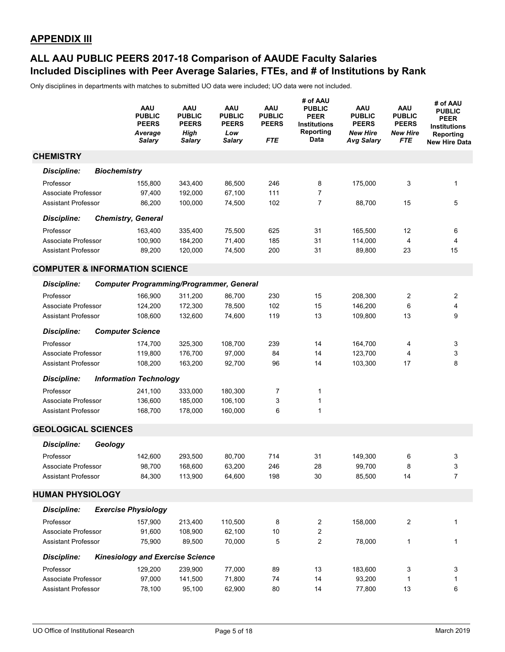### **Included Disciplines with Peer Average Salaries, FTEs, and # of Institutions by Rank ALL AAU PUBLIC PEERS 2017-18 Comparison of AAUDE Faculty Salaries**

|                                           |                     | <b>AAU</b><br><b>PUBLIC</b><br><b>PEERS</b><br>Average<br><b>Salary</b> | AAU<br><b>PUBLIC</b><br><b>PEERS</b><br><b>High</b><br>Salary | AAU<br><b>PUBLIC</b><br><b>PEERS</b><br>Low<br><b>Salary</b> | <b>AAU</b><br><b>PUBLIC</b><br><b>PEERS</b><br><b>FTE</b> | # of AAU<br><b>PUBLIC</b><br><b>PEER</b><br><b>Institutions</b><br>Reporting<br>Data | AAU<br><b>PUBLIC</b><br><b>PEERS</b><br><b>New Hire</b><br><b>Avg Salary</b> | <b>AAU</b><br><b>PUBLIC</b><br><b>PEERS</b><br><b>New Hire</b><br>FTE | # of AAU<br><b>PUBLIC</b><br><b>PEER</b><br><b>Institutions</b><br>Reporting<br><b>New Hire Data</b> |
|-------------------------------------------|---------------------|-------------------------------------------------------------------------|---------------------------------------------------------------|--------------------------------------------------------------|-----------------------------------------------------------|--------------------------------------------------------------------------------------|------------------------------------------------------------------------------|-----------------------------------------------------------------------|------------------------------------------------------------------------------------------------------|
| <b>CHEMISTRY</b>                          |                     |                                                                         |                                                               |                                                              |                                                           |                                                                                      |                                                                              |                                                                       |                                                                                                      |
| Discipline:                               | <b>Biochemistry</b> |                                                                         |                                                               |                                                              |                                                           |                                                                                      |                                                                              |                                                                       |                                                                                                      |
| Professor                                 |                     | 155,800                                                                 | 343,400                                                       | 86,500                                                       | 246                                                       | 8                                                                                    | 175,000                                                                      | 3                                                                     | 1                                                                                                    |
| Associate Professor                       |                     | 97,400                                                                  | 192,000                                                       | 67,100                                                       | 111                                                       | 7                                                                                    |                                                                              |                                                                       |                                                                                                      |
| <b>Assistant Professor</b>                |                     | 86,200                                                                  | 100.000                                                       | 74,500                                                       | 102                                                       | 7                                                                                    | 88,700                                                                       | 15                                                                    | 5                                                                                                    |
| <b>Discipline:</b>                        |                     | <b>Chemistry, General</b>                                               |                                                               |                                                              |                                                           |                                                                                      |                                                                              |                                                                       |                                                                                                      |
| Professor                                 |                     | 163,400                                                                 | 335,400                                                       | 75,500                                                       | 625                                                       | 31                                                                                   | 165,500                                                                      | 12                                                                    | 6                                                                                                    |
| Associate Professor                       |                     | 100,900                                                                 | 184,200                                                       | 71,400                                                       | 185                                                       | 31                                                                                   | 114,000                                                                      | 4                                                                     | 4                                                                                                    |
| <b>Assistant Professor</b>                |                     | 89,200                                                                  | 120,000                                                       | 74,500                                                       | 200                                                       | 31                                                                                   | 89,800                                                                       | 23                                                                    | 15                                                                                                   |
| <b>COMPUTER &amp; INFORMATION SCIENCE</b> |                     |                                                                         |                                                               |                                                              |                                                           |                                                                                      |                                                                              |                                                                       |                                                                                                      |
| <b>Discipline:</b>                        |                     | <b>Computer Programming/Programmer, General</b>                         |                                                               |                                                              |                                                           |                                                                                      |                                                                              |                                                                       |                                                                                                      |
| Professor                                 |                     | 166,900                                                                 | 311,200                                                       | 86,700                                                       | 230                                                       | 15                                                                                   | 208,300                                                                      | 2                                                                     | 2                                                                                                    |
| Associate Professor                       |                     | 124,200                                                                 | 172,300                                                       | 78,500                                                       | 102                                                       | 15                                                                                   | 146,200                                                                      | 6                                                                     | 4                                                                                                    |
| <b>Assistant Professor</b>                |                     | 108,600                                                                 | 132,600                                                       | 74,600                                                       | 119                                                       | 13                                                                                   | 109,800                                                                      | 13                                                                    | 9                                                                                                    |
| <b>Discipline:</b>                        |                     | <b>Computer Science</b>                                                 |                                                               |                                                              |                                                           |                                                                                      |                                                                              |                                                                       |                                                                                                      |
| Professor                                 |                     | 174,700                                                                 | 325,300                                                       | 108,700                                                      | 239                                                       | 14                                                                                   | 164,700                                                                      | 4                                                                     | 3                                                                                                    |
| Associate Professor                       |                     | 119,800                                                                 | 176,700                                                       | 97,000                                                       | 84                                                        | 14                                                                                   | 123,700                                                                      | 4                                                                     | 3                                                                                                    |
| <b>Assistant Professor</b>                |                     | 108,200                                                                 | 163,200                                                       | 92,700                                                       | 96                                                        | 14                                                                                   | 103,300                                                                      | 17                                                                    | 8                                                                                                    |
| <b>Discipline:</b>                        |                     | <b>Information Technology</b>                                           |                                                               |                                                              |                                                           |                                                                                      |                                                                              |                                                                       |                                                                                                      |
| Professor                                 |                     | 241,100                                                                 | 333,000                                                       | 180,300                                                      | 7                                                         | 1                                                                                    |                                                                              |                                                                       |                                                                                                      |
| Associate Professor                       |                     | 136,600                                                                 | 185,000                                                       | 106,100                                                      | 3                                                         | 1                                                                                    |                                                                              |                                                                       |                                                                                                      |
| <b>Assistant Professor</b>                |                     | 168,700                                                                 | 178,000                                                       | 160,000                                                      | 6                                                         | 1                                                                                    |                                                                              |                                                                       |                                                                                                      |
| <b>GEOLOGICAL SCIENCES</b>                |                     |                                                                         |                                                               |                                                              |                                                           |                                                                                      |                                                                              |                                                                       |                                                                                                      |
| <b>Discipline:</b>                        | Geology             |                                                                         |                                                               |                                                              |                                                           |                                                                                      |                                                                              |                                                                       |                                                                                                      |
| Professor                                 |                     | 142.600                                                                 | 293,500                                                       | 80,700                                                       | 714                                                       | 31                                                                                   | 149,300                                                                      | 6                                                                     | 3                                                                                                    |
| Associate Professor                       |                     | 98,700                                                                  | 168,600                                                       | 63,200                                                       | 246                                                       | 28                                                                                   | 99,700                                                                       | 8                                                                     | 3                                                                                                    |
| <b>Assistant Professor</b>                |                     | 84,300                                                                  | 113,900                                                       | 64,600                                                       | 198                                                       | 30                                                                                   | 85,500                                                                       | 14                                                                    | 7                                                                                                    |
| <b>HUMAN PHYSIOLOGY</b>                   |                     |                                                                         |                                                               |                                                              |                                                           |                                                                                      |                                                                              |                                                                       |                                                                                                      |
| <b>Discipline:</b>                        |                     | <b>Exercise Physiology</b>                                              |                                                               |                                                              |                                                           |                                                                                      |                                                                              |                                                                       |                                                                                                      |
| Professor                                 |                     | 157,900                                                                 | 213,400                                                       | 110,500                                                      | 8                                                         | 2                                                                                    | 158,000                                                                      | 2                                                                     | 1                                                                                                    |
| Associate Professor                       |                     | 91,600                                                                  | 108,900                                                       | 62,100                                                       | $10$                                                      | 2                                                                                    |                                                                              |                                                                       |                                                                                                      |
| <b>Assistant Professor</b>                |                     | 75,900                                                                  | 89,500                                                        | 70,000                                                       | 5                                                         | 2                                                                                    | 78,000                                                                       | 1                                                                     | 1                                                                                                    |
| <b>Discipline:</b>                        |                     | <b>Kinesiology and Exercise Science</b>                                 |                                                               |                                                              |                                                           |                                                                                      |                                                                              |                                                                       |                                                                                                      |
| Professor                                 |                     | 129,200                                                                 | 239,900                                                       | 77,000                                                       | 89                                                        | 13                                                                                   | 183,600                                                                      | 3                                                                     | 3                                                                                                    |
| Associate Professor                       |                     | 97,000                                                                  | 141,500                                                       | 71,800                                                       | 74                                                        | 14                                                                                   | 93,200                                                                       | 1                                                                     | 1                                                                                                    |
| <b>Assistant Professor</b>                |                     | 78,100                                                                  | 95,100                                                        | 62,900                                                       | 80                                                        | 14                                                                                   | 77,800                                                                       | 13                                                                    | 6                                                                                                    |
|                                           |                     |                                                                         |                                                               |                                                              |                                                           |                                                                                      |                                                                              |                                                                       |                                                                                                      |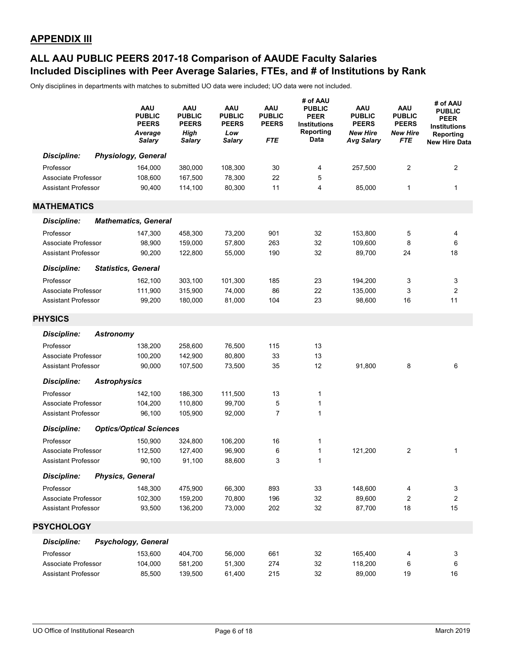### **Included Disciplines with Peer Average Salaries, FTEs, and # of Institutions by Rank ALL AAU PUBLIC PEERS 2017-18 Comparison of AAUDE Faculty Salaries**

|                            |                     | AAU<br><b>PUBLIC</b><br><b>PEERS</b><br>Average<br><b>Salary</b> | <b>AAU</b><br><b>PUBLIC</b><br><b>PEERS</b><br><b>High</b><br><b>Salary</b> | <b>AAU</b><br><b>PUBLIC</b><br><b>PEERS</b><br>Low<br><b>Salary</b> | <b>AAU</b><br><b>PUBLIC</b><br><b>PEERS</b><br>FTE | # of AAU<br><b>PUBLIC</b><br><b>PEER</b><br><b>Institutions</b><br>Reporting<br>Data | AAU<br><b>PUBLIC</b><br><b>PEERS</b><br><b>New Hire</b><br><b>Avg Salary</b> | <b>AAU</b><br><b>PUBLIC</b><br><b>PEERS</b><br><b>New Hire</b><br><b>FTE</b> | # of AAU<br><b>PUBLIC</b><br><b>PEER</b><br><b>Institutions</b><br>Reporting<br>New Hire Data |
|----------------------------|---------------------|------------------------------------------------------------------|-----------------------------------------------------------------------------|---------------------------------------------------------------------|----------------------------------------------------|--------------------------------------------------------------------------------------|------------------------------------------------------------------------------|------------------------------------------------------------------------------|-----------------------------------------------------------------------------------------------|
| <b>Discipline:</b>         |                     | <b>Physiology, General</b>                                       |                                                                             |                                                                     |                                                    |                                                                                      |                                                                              |                                                                              |                                                                                               |
| Professor                  |                     | 164,000                                                          | 380,000                                                                     | 108,300                                                             | 30                                                 | 4                                                                                    | 257,500                                                                      | 2                                                                            | 2                                                                                             |
| Associate Professor        |                     | 108,600                                                          | 167,500                                                                     | 78,300                                                              | 22                                                 | 5                                                                                    |                                                                              |                                                                              |                                                                                               |
| <b>Assistant Professor</b> |                     | 90,400                                                           | 114,100                                                                     | 80,300                                                              | 11                                                 | 4                                                                                    | 85,000                                                                       | 1                                                                            | 1                                                                                             |
| <b>MATHEMATICS</b>         |                     |                                                                  |                                                                             |                                                                     |                                                    |                                                                                      |                                                                              |                                                                              |                                                                                               |
| <b>Discipline:</b>         |                     | <b>Mathematics, General</b>                                      |                                                                             |                                                                     |                                                    |                                                                                      |                                                                              |                                                                              |                                                                                               |
| Professor                  |                     | 147,300                                                          | 458,300                                                                     | 73,200                                                              | 901                                                | 32                                                                                   | 153,800                                                                      | 5                                                                            | 4                                                                                             |
| Associate Professor        |                     | 98,900                                                           | 159,000                                                                     | 57,800                                                              | 263                                                | 32                                                                                   | 109,600                                                                      | 8                                                                            | 6                                                                                             |
| <b>Assistant Professor</b> |                     | 90,200                                                           | 122,800                                                                     | 55,000                                                              | 190                                                | 32                                                                                   | 89,700                                                                       | 24                                                                           | 18                                                                                            |
|                            |                     |                                                                  |                                                                             |                                                                     |                                                    |                                                                                      |                                                                              |                                                                              |                                                                                               |
| <b>Discipline:</b>         |                     | <b>Statistics, General</b>                                       |                                                                             |                                                                     |                                                    |                                                                                      |                                                                              |                                                                              |                                                                                               |
| Professor                  |                     | 162,100                                                          | 303,100                                                                     | 101,300                                                             | 185                                                | 23                                                                                   | 194,200                                                                      | 3                                                                            | 3                                                                                             |
| Associate Professor        |                     | 111,900                                                          | 315,900                                                                     | 74,000                                                              | 86                                                 | 22                                                                                   | 135,000                                                                      | 3                                                                            | $\overline{2}$                                                                                |
| <b>Assistant Professor</b> |                     | 99,200                                                           | 180,000                                                                     | 81,000                                                              | 104                                                | 23                                                                                   | 98,600                                                                       | 16                                                                           | 11                                                                                            |
| <b>PHYSICS</b>             |                     |                                                                  |                                                                             |                                                                     |                                                    |                                                                                      |                                                                              |                                                                              |                                                                                               |
| <b>Discipline:</b>         | <b>Astronomy</b>    |                                                                  |                                                                             |                                                                     |                                                    |                                                                                      |                                                                              |                                                                              |                                                                                               |
| Professor                  |                     | 138,200                                                          | 258,600                                                                     | 76,500                                                              | 115                                                | 13                                                                                   |                                                                              |                                                                              |                                                                                               |
| Associate Professor        |                     | 100,200                                                          | 142,900                                                                     | 80,800                                                              | 33                                                 | 13                                                                                   |                                                                              |                                                                              |                                                                                               |
| <b>Assistant Professor</b> |                     | 90,000                                                           | 107,500                                                                     | 73,500                                                              | 35                                                 | 12                                                                                   | 91,800                                                                       | 8                                                                            | 6                                                                                             |
| <b>Discipline:</b>         | <b>Astrophysics</b> |                                                                  |                                                                             |                                                                     |                                                    |                                                                                      |                                                                              |                                                                              |                                                                                               |
| Professor                  |                     | 142,100                                                          | 186,300                                                                     | 111,500                                                             | 13                                                 | 1                                                                                    |                                                                              |                                                                              |                                                                                               |
| Associate Professor        |                     | 104,200                                                          | 110,800                                                                     | 99,700                                                              | 5                                                  | 1                                                                                    |                                                                              |                                                                              |                                                                                               |
| <b>Assistant Professor</b> |                     | 96,100                                                           | 105,900                                                                     | 92,000                                                              | $\overline{7}$                                     | 1                                                                                    |                                                                              |                                                                              |                                                                                               |
| <b>Discipline:</b>         |                     | <b>Optics/Optical Sciences</b>                                   |                                                                             |                                                                     |                                                    |                                                                                      |                                                                              |                                                                              |                                                                                               |
| Professor                  |                     | 150,900                                                          | 324,800                                                                     | 106,200                                                             | 16                                                 | 1                                                                                    |                                                                              |                                                                              |                                                                                               |
| Associate Professor        |                     | 112,500                                                          | 127,400                                                                     | 96,900                                                              | 6                                                  | 1                                                                                    | 121,200                                                                      | 2                                                                            | 1                                                                                             |
| <b>Assistant Professor</b> |                     | 90,100                                                           | 91,100                                                                      | 88,600                                                              | 3                                                  | 1                                                                                    |                                                                              |                                                                              |                                                                                               |
| <b>Discipline:</b>         |                     | <b>Physics, General</b>                                          |                                                                             |                                                                     |                                                    |                                                                                      |                                                                              |                                                                              |                                                                                               |
| Professor                  |                     | 148,300                                                          | 475,900                                                                     | 66,300                                                              | 893                                                | 33                                                                                   | 148,600                                                                      | 4                                                                            | 3                                                                                             |
| Associate Professor        |                     | 102,300                                                          | 159,200                                                                     | 70,800                                                              | 196                                                | 32                                                                                   | 89,600                                                                       | 2                                                                            | $\boldsymbol{2}$                                                                              |
| <b>Assistant Professor</b> |                     | 93,500                                                           | 136,200                                                                     | 73,000                                                              | 202                                                | 32                                                                                   | 87,700                                                                       | 18                                                                           | 15                                                                                            |
|                            |                     |                                                                  |                                                                             |                                                                     |                                                    |                                                                                      |                                                                              |                                                                              |                                                                                               |
| <b>PSYCHOLOGY</b>          |                     |                                                                  |                                                                             |                                                                     |                                                    |                                                                                      |                                                                              |                                                                              |                                                                                               |
| <b>Discipline:</b>         |                     | Psychology, General                                              |                                                                             |                                                                     |                                                    |                                                                                      |                                                                              |                                                                              |                                                                                               |
| Professor                  |                     | 153,600                                                          | 404,700                                                                     | 56,000                                                              | 661                                                | 32                                                                                   | 165,400                                                                      | 4                                                                            | 3                                                                                             |
| Associate Professor        |                     | 104,000                                                          | 581,200                                                                     | 51,300                                                              | 274                                                | 32                                                                                   | 118,200                                                                      | 6                                                                            | 6                                                                                             |
| Assistant Professor        |                     | 85,500                                                           | 139,500                                                                     | 61,400                                                              | 215                                                | 32                                                                                   | 89,000                                                                       | 19                                                                           | 16                                                                                            |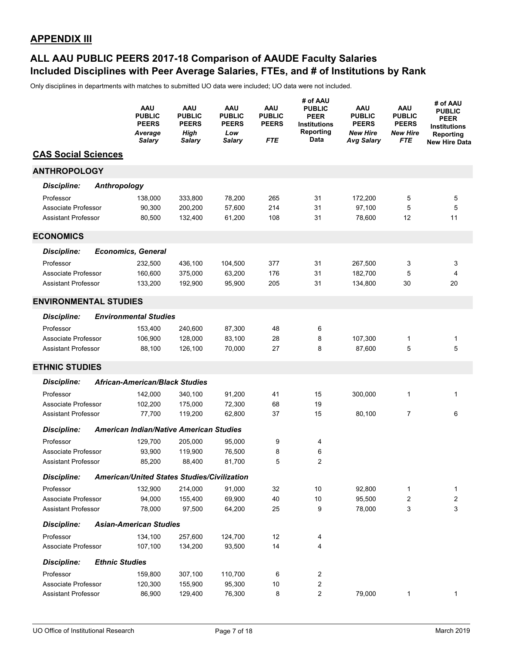### **Included Disciplines with Peer Average Salaries, FTEs, and # of Institutions by Rank ALL AAU PUBLIC PEERS 2017-18 Comparison of AAUDE Faculty Salaries**

|                              |                     | AAU<br><b>PUBLIC</b><br><b>PEERS</b><br>Average<br><b>Salary</b> | AAU<br><b>PUBLIC</b><br><b>PEERS</b><br>High<br><b>Salary</b> | AAU<br><b>PUBLIC</b><br><b>PEERS</b><br>Low<br><b>Salary</b> | AAU<br><b>PUBLIC</b><br><b>PEERS</b><br><b>FTE</b> | # of AAU<br><b>PUBLIC</b><br><b>PEER</b><br><b>Institutions</b><br>Reporting<br>Data | AAU<br><b>PUBLIC</b><br><b>PEERS</b><br><b>New Hire</b><br><b>Avg Salary</b> | <b>AAU</b><br><b>PUBLIC</b><br><b>PEERS</b><br><b>New Hire</b><br><b>FTE</b> | # of AAU<br><b>PUBLIC</b><br><b>PEER</b><br><b>Institutions</b><br>Reporting<br><b>New Hire Data</b> |
|------------------------------|---------------------|------------------------------------------------------------------|---------------------------------------------------------------|--------------------------------------------------------------|----------------------------------------------------|--------------------------------------------------------------------------------------|------------------------------------------------------------------------------|------------------------------------------------------------------------------|------------------------------------------------------------------------------------------------------|
| <b>CAS Social Sciences</b>   |                     |                                                                  |                                                               |                                                              |                                                    |                                                                                      |                                                                              |                                                                              |                                                                                                      |
| <b>ANTHROPOLOGY</b>          |                     |                                                                  |                                                               |                                                              |                                                    |                                                                                      |                                                                              |                                                                              |                                                                                                      |
| <b>Discipline:</b>           | <b>Anthropology</b> |                                                                  |                                                               |                                                              |                                                    |                                                                                      |                                                                              |                                                                              |                                                                                                      |
| Professor                    |                     | 138,000                                                          | 333,800                                                       | 78,200                                                       | 265                                                | 31                                                                                   | 172,200                                                                      | 5                                                                            | 5                                                                                                    |
| Associate Professor          |                     | 90,300                                                           | 200,200                                                       | 57,600                                                       | 214                                                | 31                                                                                   | 97.100                                                                       | 5                                                                            | 5                                                                                                    |
| <b>Assistant Professor</b>   |                     | 80,500                                                           | 132,400                                                       | 61,200                                                       | 108                                                | 31                                                                                   | 78,600                                                                       | 12                                                                           | 11                                                                                                   |
| <b>ECONOMICS</b>             |                     |                                                                  |                                                               |                                                              |                                                    |                                                                                      |                                                                              |                                                                              |                                                                                                      |
| <b>Discipline:</b>           |                     | <b>Economics, General</b>                                        |                                                               |                                                              |                                                    |                                                                                      |                                                                              |                                                                              |                                                                                                      |
| Professor                    |                     | 232,500                                                          | 436,100                                                       | 104,500                                                      | 377                                                | 31                                                                                   | 267,500                                                                      | 3                                                                            | 3                                                                                                    |
| Associate Professor          |                     | 160.600                                                          | 375,000                                                       | 63,200                                                       | 176                                                | 31                                                                                   | 182,700                                                                      | 5                                                                            | 4                                                                                                    |
| <b>Assistant Professor</b>   |                     | 133,200                                                          | 192,900                                                       | 95,900                                                       | 205                                                | 31                                                                                   | 134,800                                                                      | 30                                                                           | 20                                                                                                   |
| <b>ENVIRONMENTAL STUDIES</b> |                     |                                                                  |                                                               |                                                              |                                                    |                                                                                      |                                                                              |                                                                              |                                                                                                      |
| <b>Discipline:</b>           |                     | <b>Environmental Studies</b>                                     |                                                               |                                                              |                                                    |                                                                                      |                                                                              |                                                                              |                                                                                                      |
| Professor                    |                     | 153,400                                                          | 240,600                                                       | 87,300                                                       | 48                                                 | 6                                                                                    |                                                                              |                                                                              |                                                                                                      |
| Associate Professor          |                     | 106,900                                                          | 128,000                                                       | 83,100                                                       | 28                                                 | 8                                                                                    | 107,300                                                                      | 1                                                                            | 1                                                                                                    |
| <b>Assistant Professor</b>   |                     | 88,100                                                           | 126,100                                                       | 70,000                                                       | 27                                                 | 8                                                                                    | 87,600                                                                       | 5                                                                            | 5                                                                                                    |
| <b>ETHNIC STUDIES</b>        |                     |                                                                  |                                                               |                                                              |                                                    |                                                                                      |                                                                              |                                                                              |                                                                                                      |
| <b>Discipline:</b>           |                     | <b>African-American/Black Studies</b>                            |                                                               |                                                              |                                                    |                                                                                      |                                                                              |                                                                              |                                                                                                      |
| Professor                    |                     | 142,000                                                          | 340,100                                                       | 91,200                                                       | 41                                                 | 15                                                                                   | 300,000                                                                      | 1                                                                            | 1                                                                                                    |
| Associate Professor          |                     | 102,200                                                          | 175,000                                                       | 72,300                                                       | 68                                                 | 19                                                                                   |                                                                              |                                                                              |                                                                                                      |
| <b>Assistant Professor</b>   |                     | 77,700                                                           | 119,200                                                       | 62,800                                                       | 37                                                 | 15                                                                                   | 80,100                                                                       | 7                                                                            | 6                                                                                                    |
| <b>Discipline:</b>           |                     | <b>American Indian/Native American Studies</b>                   |                                                               |                                                              |                                                    |                                                                                      |                                                                              |                                                                              |                                                                                                      |
| Professor                    |                     | 129,700                                                          | 205,000                                                       | 95,000                                                       | 9                                                  | 4                                                                                    |                                                                              |                                                                              |                                                                                                      |
| Associate Professor          |                     | 93,900                                                           | 119,900                                                       | 76,500                                                       | 8                                                  | 6                                                                                    |                                                                              |                                                                              |                                                                                                      |
| <b>Assistant Professor</b>   |                     | 85,200                                                           | 88,400                                                        | 81,700                                                       | 5                                                  | 2                                                                                    |                                                                              |                                                                              |                                                                                                      |
| <b>Discipline:</b>           |                     | American/United States Studies/Civilization                      |                                                               |                                                              |                                                    |                                                                                      |                                                                              |                                                                              |                                                                                                      |
| Professor                    |                     | 132,900                                                          | 214,000                                                       | 91,000                                                       | 32                                                 | 10                                                                                   | 92,800                                                                       | 1                                                                            | 1                                                                                                    |
| Associate Professor          |                     | 94,000                                                           | 155,400                                                       | 69,900                                                       | 40                                                 | 10                                                                                   | 95,500                                                                       | 2                                                                            | $\overline{\mathbf{c}}$                                                                              |
| <b>Assistant Professor</b>   |                     | 78,000                                                           | 97,500                                                        | 64,200                                                       | 25                                                 | 9                                                                                    | 78,000                                                                       | 3                                                                            | 3                                                                                                    |
| <b>Discipline:</b>           |                     | <b>Asian-American Studies</b>                                    |                                                               |                                                              |                                                    |                                                                                      |                                                                              |                                                                              |                                                                                                      |
| Professor                    |                     | 134,100                                                          | 257,600                                                       | 124,700                                                      | 12                                                 | 4                                                                                    |                                                                              |                                                                              |                                                                                                      |
| Associate Professor          |                     | 107,100                                                          | 134,200                                                       | 93,500                                                       | 14                                                 | 4                                                                                    |                                                                              |                                                                              |                                                                                                      |
| <b>Discipline:</b>           |                     | <b>Ethnic Studies</b>                                            |                                                               |                                                              |                                                    |                                                                                      |                                                                              |                                                                              |                                                                                                      |
| Professor                    |                     | 159,800                                                          | 307,100                                                       | 110,700                                                      | 6                                                  | 2                                                                                    |                                                                              |                                                                              |                                                                                                      |
| Associate Professor          |                     | 120,300                                                          | 155,900                                                       | 95,300                                                       | 10                                                 | 2                                                                                    |                                                                              |                                                                              |                                                                                                      |
| <b>Assistant Professor</b>   |                     | 86,900                                                           | 129,400                                                       | 76,300                                                       | 8                                                  | 2                                                                                    | 79,000                                                                       | 1                                                                            | 1                                                                                                    |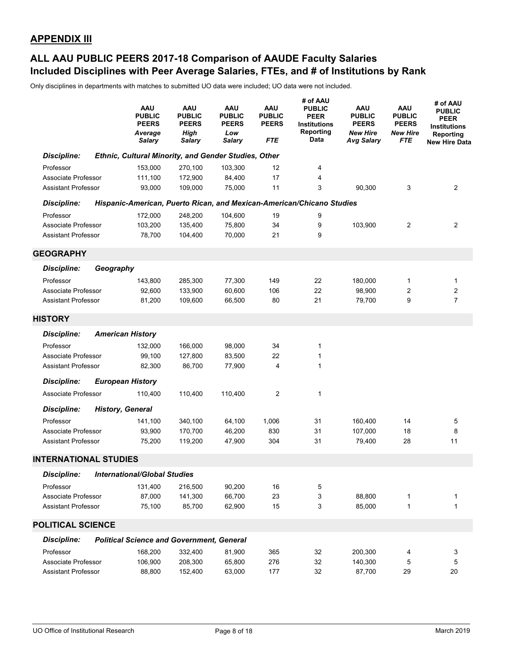### **Included Disciplines with Peer Average Salaries, FTEs, and # of Institutions by Rank ALL AAU PUBLIC PEERS 2017-18 Comparison of AAUDE Faculty Salaries**

|                              |                         | AAU<br><b>PUBLIC</b><br><b>PEERS</b><br>Average<br><b>Salary</b> | AAU<br><b>PUBLIC</b><br><b>PEERS</b><br>High<br><b>Salary</b> | <b>AAU</b><br><b>PUBLIC</b><br><b>PEERS</b><br>Low<br><b>Salary</b> | <b>AAU</b><br><b>PUBLIC</b><br><b>PEERS</b><br>FTE | # of AAU<br><b>PUBLIC</b><br><b>PEER</b><br><b>Institutions</b><br>Reporting<br>Data | <b>AAU</b><br><b>PUBLIC</b><br><b>PEERS</b><br><b>New Hire</b><br><b>Avg Salary</b> | AAU<br><b>PUBLIC</b><br><b>PEERS</b><br><b>New Hire</b><br>FTE | # of AAU<br><b>PUBLIC</b><br><b>PEER</b><br><b>Institutions</b><br>Reporting<br><b>New Hire Data</b> |
|------------------------------|-------------------------|------------------------------------------------------------------|---------------------------------------------------------------|---------------------------------------------------------------------|----------------------------------------------------|--------------------------------------------------------------------------------------|-------------------------------------------------------------------------------------|----------------------------------------------------------------|------------------------------------------------------------------------------------------------------|
| <b>Discipline:</b>           |                         | Ethnic, Cultural Minority, and Gender Studies, Other             |                                                               |                                                                     |                                                    |                                                                                      |                                                                                     |                                                                |                                                                                                      |
| Professor                    |                         | 153,000                                                          | 270,100                                                       | 103,300                                                             | 12                                                 | 4                                                                                    |                                                                                     |                                                                |                                                                                                      |
| Associate Professor          |                         | 111,100                                                          | 172,900                                                       | 84,400                                                              | 17                                                 | 4                                                                                    |                                                                                     |                                                                |                                                                                                      |
| <b>Assistant Professor</b>   |                         | 93.000                                                           | 109,000                                                       | 75,000                                                              | 11                                                 | 3                                                                                    | 90,300                                                                              | 3                                                              | 2                                                                                                    |
| <b>Discipline:</b>           |                         |                                                                  |                                                               |                                                                     |                                                    | Hispanic-American, Puerto Rican, and Mexican-American/Chicano Studies                |                                                                                     |                                                                |                                                                                                      |
| Professor                    |                         | 172,000                                                          | 248,200                                                       | 104,600                                                             | 19                                                 | 9                                                                                    |                                                                                     |                                                                |                                                                                                      |
| Associate Professor          |                         | 103,200                                                          | 135,400                                                       | 75,800                                                              | 34                                                 | 9                                                                                    | 103,900                                                                             | $\overline{2}$                                                 | 2                                                                                                    |
| <b>Assistant Professor</b>   |                         | 78,700                                                           | 104,400                                                       | 70,000                                                              | 21                                                 | 9                                                                                    |                                                                                     |                                                                |                                                                                                      |
| <b>GEOGRAPHY</b>             |                         |                                                                  |                                                               |                                                                     |                                                    |                                                                                      |                                                                                     |                                                                |                                                                                                      |
| Discipline:                  | Geography               |                                                                  |                                                               |                                                                     |                                                    |                                                                                      |                                                                                     |                                                                |                                                                                                      |
| Professor                    |                         | 143,800                                                          | 285,300                                                       | 77,300                                                              | 149                                                | 22                                                                                   | 180,000                                                                             | 1                                                              | 1                                                                                                    |
| Associate Professor          |                         | 92,600                                                           | 133,900                                                       | 60,600                                                              | 106                                                | 22                                                                                   | 98,900                                                                              | 2                                                              | 2                                                                                                    |
| <b>Assistant Professor</b>   |                         | 81,200                                                           | 109,600                                                       | 66,500                                                              | 80                                                 | 21                                                                                   | 79,700                                                                              | 9                                                              | $\overline{7}$                                                                                       |
| <b>HISTORY</b>               |                         |                                                                  |                                                               |                                                                     |                                                    |                                                                                      |                                                                                     |                                                                |                                                                                                      |
| <b>Discipline:</b>           |                         | <b>American History</b>                                          |                                                               |                                                                     |                                                    |                                                                                      |                                                                                     |                                                                |                                                                                                      |
| Professor                    |                         | 132,000                                                          | 166,000                                                       | 98,000                                                              | 34                                                 | 1                                                                                    |                                                                                     |                                                                |                                                                                                      |
| Associate Professor          |                         | 99,100                                                           | 127,800                                                       | 83,500                                                              | 22                                                 | 1                                                                                    |                                                                                     |                                                                |                                                                                                      |
| <b>Assistant Professor</b>   |                         | 82,300                                                           | 86,700                                                        | 77,900                                                              | 4                                                  | 1                                                                                    |                                                                                     |                                                                |                                                                                                      |
| <b>Discipline:</b>           |                         | <b>European History</b>                                          |                                                               |                                                                     |                                                    |                                                                                      |                                                                                     |                                                                |                                                                                                      |
| Associate Professor          |                         | 110,400                                                          | 110,400                                                       | 110,400                                                             | $\overline{2}$                                     | 1                                                                                    |                                                                                     |                                                                |                                                                                                      |
| <b>Discipline:</b>           | <b>History, General</b> |                                                                  |                                                               |                                                                     |                                                    |                                                                                      |                                                                                     |                                                                |                                                                                                      |
| Professor                    |                         | 141,100                                                          | 340,100                                                       | 64,100                                                              | 1,006                                              | 31                                                                                   | 160,400                                                                             | 14                                                             | 5                                                                                                    |
| Associate Professor          |                         | 93,900                                                           | 170,700                                                       | 46,200                                                              | 830                                                | 31                                                                                   | 107.000                                                                             | 18                                                             | 8                                                                                                    |
| <b>Assistant Professor</b>   |                         | 75,200                                                           | 119,200                                                       | 47,900                                                              | 304                                                | 31                                                                                   | 79,400                                                                              | 28                                                             | 11                                                                                                   |
| <b>INTERNATIONAL STUDIES</b> |                         |                                                                  |                                                               |                                                                     |                                                    |                                                                                      |                                                                                     |                                                                |                                                                                                      |
| <b>Discipline:</b>           |                         | <b>International/Global Studies</b>                              |                                                               |                                                                     |                                                    |                                                                                      |                                                                                     |                                                                |                                                                                                      |
| Professor                    |                         | 131,400                                                          | 216,500                                                       | 90,200                                                              | 16                                                 | 5                                                                                    |                                                                                     |                                                                |                                                                                                      |
| Associate Professor          |                         | 87,000                                                           | 141,300                                                       | 66,700                                                              | 23                                                 | 3                                                                                    | 88,800                                                                              | 1                                                              | 1                                                                                                    |
| <b>Assistant Professor</b>   |                         | 75,100                                                           | 85,700                                                        | 62,900                                                              | 15                                                 | 3                                                                                    | 85,000                                                                              | $\mathbf{1}$                                                   | 1                                                                                                    |
| <b>POLITICAL SCIENCE</b>     |                         |                                                                  |                                                               |                                                                     |                                                    |                                                                                      |                                                                                     |                                                                |                                                                                                      |
| <b>Discipline:</b>           |                         | <b>Political Science and Government, General</b>                 |                                                               |                                                                     |                                                    |                                                                                      |                                                                                     |                                                                |                                                                                                      |
| Professor                    |                         | 168,200                                                          | 332,400                                                       | 81,900                                                              | 365                                                | 32                                                                                   | 200,300                                                                             | 4                                                              | 3                                                                                                    |
| Associate Professor          |                         | 106,900                                                          | 208,300                                                       | 65,800                                                              | 276                                                | 32                                                                                   | 140,300                                                                             | 5                                                              | 5                                                                                                    |
| Assistant Professor          |                         | 88,800                                                           | 152,400                                                       | 63,000                                                              | 177                                                | 32                                                                                   | 87,700                                                                              | 29                                                             | 20                                                                                                   |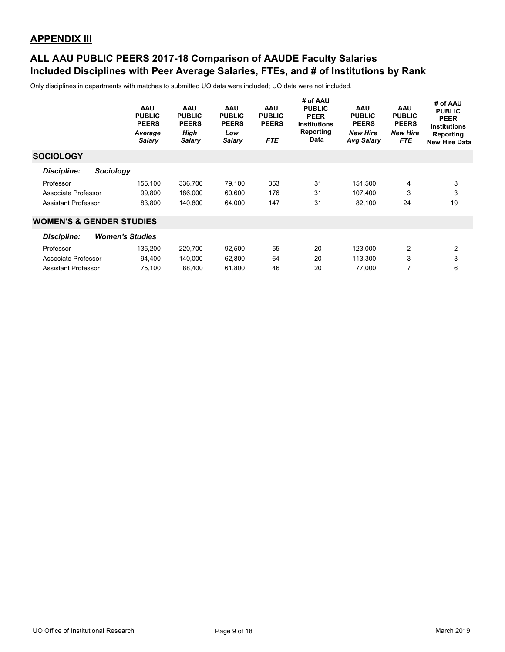### **Included Disciplines with Peer Average Salaries, FTEs, and # of Institutions by Rank ALL AAU PUBLIC PEERS 2017-18 Comparison of AAUDE Faculty Salaries**

|                                     | <b>AAU</b><br><b>PUBLIC</b><br><b>PEERS</b><br>Average<br><b>Salary</b> | <b>AAU</b><br><b>PUBLIC</b><br><b>PEERS</b><br>High<br><b>Salary</b> | <b>AAU</b><br><b>PUBLIC</b><br><b>PEERS</b><br>Low<br><b>Salary</b> | <b>AAU</b><br><b>PUBLIC</b><br><b>PEERS</b><br><b>FTE</b> | # of AAU<br><b>PUBLIC</b><br><b>PEER</b><br><b>Institutions</b><br>Reporting<br><b>Data</b> | <b>AAU</b><br><b>PUBLIC</b><br><b>PEERS</b><br><b>New Hire</b><br><b>Avg Salary</b> | <b>AAU</b><br><b>PUBLIC</b><br><b>PEERS</b><br><b>New Hire</b><br><b>FTE</b> | # of AAU<br><b>PUBLIC</b><br><b>PEER</b><br><b>Institutions</b><br>Reporting<br><b>New Hire Data</b> |
|-------------------------------------|-------------------------------------------------------------------------|----------------------------------------------------------------------|---------------------------------------------------------------------|-----------------------------------------------------------|---------------------------------------------------------------------------------------------|-------------------------------------------------------------------------------------|------------------------------------------------------------------------------|------------------------------------------------------------------------------------------------------|
| <b>SOCIOLOGY</b>                    |                                                                         |                                                                      |                                                                     |                                                           |                                                                                             |                                                                                     |                                                                              |                                                                                                      |
| Discipline:<br>Sociology            |                                                                         |                                                                      |                                                                     |                                                           |                                                                                             |                                                                                     |                                                                              |                                                                                                      |
| Professor                           | 155,100                                                                 | 336,700                                                              | 79,100                                                              | 353                                                       | 31                                                                                          | 151,500                                                                             | 4                                                                            | 3                                                                                                    |
| Associate Professor                 | 99,800                                                                  | 186,000                                                              | 60,600                                                              | 176                                                       | 31                                                                                          | 107.400                                                                             | 3                                                                            | 3                                                                                                    |
| <b>Assistant Professor</b>          | 83,800                                                                  | 140,800                                                              | 64,000                                                              | 147                                                       | 31                                                                                          | 82,100                                                                              | 24                                                                           | 19                                                                                                   |
| <b>WOMEN'S &amp; GENDER STUDIES</b> |                                                                         |                                                                      |                                                                     |                                                           |                                                                                             |                                                                                     |                                                                              |                                                                                                      |
| <b>Discipline:</b>                  | <b>Women's Studies</b>                                                  |                                                                      |                                                                     |                                                           |                                                                                             |                                                                                     |                                                                              |                                                                                                      |
| Professor                           | 135,200                                                                 | 220,700                                                              | 92,500                                                              | 55                                                        | 20                                                                                          | 123,000                                                                             | $\overline{2}$                                                               | $\overline{2}$                                                                                       |
| Associate Professor                 | 94,400                                                                  | 140,000                                                              | 62,800                                                              | 64                                                        | 20                                                                                          | 113,300                                                                             | 3                                                                            | 3                                                                                                    |
| <b>Assistant Professor</b>          | 75,100                                                                  | 88,400                                                               | 61,800                                                              | 46                                                        | 20                                                                                          | 77,000                                                                              | 7                                                                            | 6                                                                                                    |
|                                     |                                                                         |                                                                      |                                                                     |                                                           |                                                                                             |                                                                                     |                                                                              |                                                                                                      |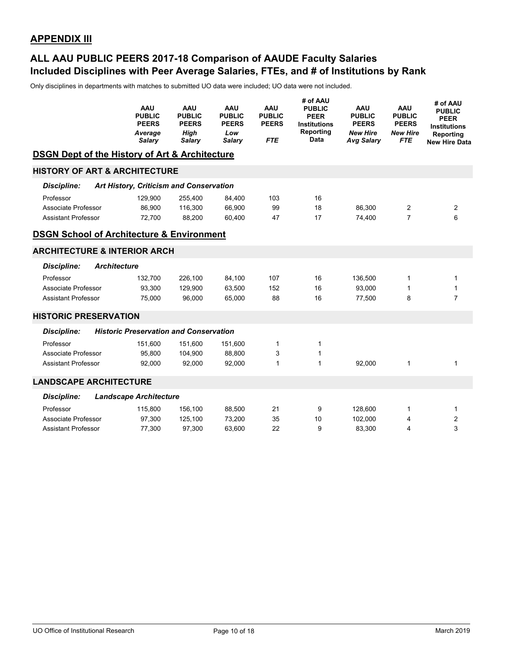### **Included Disciplines with Peer Average Salaries, FTEs, and # of Institutions by Rank ALL AAU PUBLIC PEERS 2017-18 Comparison of AAUDE Faculty Salaries**

|                                                           | <b>AAU</b><br><b>PUBLIC</b><br><b>PEERS</b><br>Average<br>Salary | AAU<br><b>PUBLIC</b><br><b>PEERS</b><br><b>High</b><br>Salary | AAU<br><b>PUBLIC</b><br><b>PEERS</b><br>Low<br>Salary | <b>AAU</b><br><b>PUBLIC</b><br><b>PEERS</b><br><b>FTE</b> | # of AAU<br><b>PUBLIC</b><br><b>PEER</b><br><b>Institutions</b><br><b>Reporting</b><br>Data | <b>AAU</b><br><b>PUBLIC</b><br><b>PEERS</b><br><b>New Hire</b><br><b>Avg Salary</b> | <b>AAU</b><br><b>PUBLIC</b><br><b>PEERS</b><br><b>New Hire</b><br><b>FTE</b> | # of AAU<br><b>PUBLIC</b><br><b>PEER</b><br><b>Institutions</b><br>Reporting<br><b>New Hire Data</b> |
|-----------------------------------------------------------|------------------------------------------------------------------|---------------------------------------------------------------|-------------------------------------------------------|-----------------------------------------------------------|---------------------------------------------------------------------------------------------|-------------------------------------------------------------------------------------|------------------------------------------------------------------------------|------------------------------------------------------------------------------------------------------|
| <b>DSGN Dept of the History of Art &amp; Architecture</b> |                                                                  |                                                               |                                                       |                                                           |                                                                                             |                                                                                     |                                                                              |                                                                                                      |
| <b>HISTORY OF ART &amp; ARCHITECTURE</b>                  |                                                                  |                                                               |                                                       |                                                           |                                                                                             |                                                                                     |                                                                              |                                                                                                      |
| Discipline:                                               | Art History, Criticism and Conservation                          |                                                               |                                                       |                                                           |                                                                                             |                                                                                     |                                                                              |                                                                                                      |
| Professor                                                 | 129,900                                                          | 255,400                                                       | 84,400                                                | 103                                                       | 16                                                                                          |                                                                                     |                                                                              |                                                                                                      |
| Associate Professor                                       | 86,900                                                           | 116,300                                                       | 66,900                                                | 99                                                        | 18                                                                                          | 86,300                                                                              | 2                                                                            | 2                                                                                                    |
| <b>Assistant Professor</b>                                | 72,700                                                           | 88,200                                                        | 60,400                                                | 47                                                        | 17                                                                                          | 74.400                                                                              | 7                                                                            | 6                                                                                                    |
| <b>DSGN School of Architecture &amp; Environment</b>      |                                                                  |                                                               |                                                       |                                                           |                                                                                             |                                                                                     |                                                                              |                                                                                                      |
| <b>ARCHITECTURE &amp; INTERIOR ARCH</b>                   |                                                                  |                                                               |                                                       |                                                           |                                                                                             |                                                                                     |                                                                              |                                                                                                      |
| <b>Discipline:</b><br><b>Architecture</b>                 |                                                                  |                                                               |                                                       |                                                           |                                                                                             |                                                                                     |                                                                              |                                                                                                      |
| Professor                                                 | 132.700                                                          | 226,100                                                       | 84,100                                                | 107                                                       | 16                                                                                          | 136,500                                                                             | 1                                                                            | 1                                                                                                    |
| Associate Professor                                       | 93,300                                                           | 129,900                                                       | 63,500                                                | 152                                                       | 16                                                                                          | 93,000                                                                              | 1                                                                            | $\mathbf{1}$                                                                                         |
| <b>Assistant Professor</b>                                | 75,000                                                           | 96,000                                                        | 65,000                                                | 88                                                        | 16                                                                                          | 77,500                                                                              | 8                                                                            | $\overline{7}$                                                                                       |
| <b>HISTORIC PRESERVATION</b>                              |                                                                  |                                                               |                                                       |                                                           |                                                                                             |                                                                                     |                                                                              |                                                                                                      |
| <b>Discipline:</b>                                        | <b>Historic Preservation and Conservation</b>                    |                                                               |                                                       |                                                           |                                                                                             |                                                                                     |                                                                              |                                                                                                      |
| Professor                                                 | 151,600                                                          | 151,600                                                       | 151,600                                               | $\mathbf{1}$                                              | 1                                                                                           |                                                                                     |                                                                              |                                                                                                      |
| Associate Professor                                       | 95,800                                                           | 104,900                                                       | 88,800                                                | 3                                                         | 1                                                                                           |                                                                                     |                                                                              |                                                                                                      |
| <b>Assistant Professor</b>                                | 92,000                                                           | 92,000                                                        | 92,000                                                | $\mathbf{1}$                                              | $\mathbf{1}$                                                                                | 92,000                                                                              | 1                                                                            | $\mathbf{1}$                                                                                         |
|                                                           |                                                                  |                                                               |                                                       |                                                           |                                                                                             |                                                                                     |                                                                              |                                                                                                      |
| <b>LANDSCAPE ARCHITECTURE</b>                             |                                                                  |                                                               |                                                       |                                                           |                                                                                             |                                                                                     |                                                                              |                                                                                                      |
| Discipline:                                               | <b>Landscape Architecture</b>                                    |                                                               |                                                       |                                                           |                                                                                             |                                                                                     |                                                                              |                                                                                                      |
| Professor                                                 | 115,800                                                          | 156,100                                                       | 88,500                                                | 21                                                        | 9                                                                                           | 128,600                                                                             | 1                                                                            | 1                                                                                                    |
| Associate Professor                                       | 97,300                                                           | 125,100                                                       | 73,200                                                | 35                                                        | 10                                                                                          | 102,000                                                                             | 4                                                                            | 2                                                                                                    |
| <b>Assistant Professor</b>                                | 77,300                                                           | 97,300                                                        | 63.600                                                | 22                                                        | 9                                                                                           | 83,300                                                                              | 4                                                                            | 3                                                                                                    |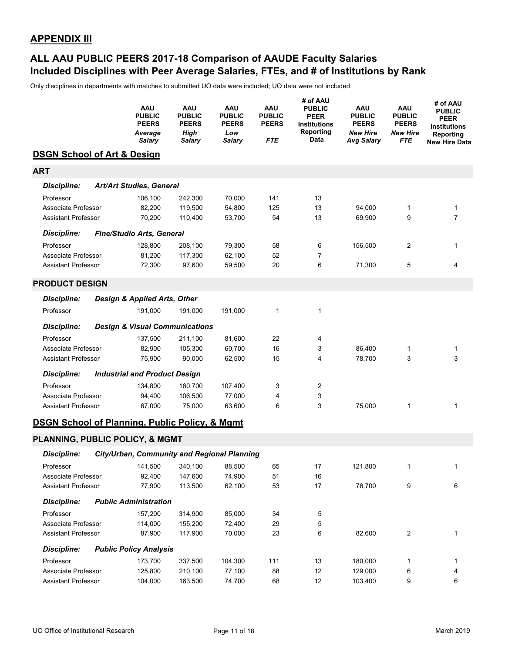### **Included Disciplines with Peer Average Salaries, FTEs, and # of Institutions by Rank ALL AAU PUBLIC PEERS 2017-18 Comparison of AAUDE Faculty Salaries**

|                                                           | AAU<br><b>PUBLIC</b><br><b>PEERS</b><br>Average<br><b>Salary</b> | AAU<br><b>PUBLIC</b><br><b>PEERS</b><br><b>High</b><br><b>Salary</b> | AAU<br><b>PUBLIC</b><br><b>PEERS</b><br>Low<br><b>Salary</b> | AAU<br><b>PUBLIC</b><br><b>PEERS</b><br>FTE | # of AAU<br><b>PUBLIC</b><br><b>PEER</b><br>Institutions<br>Reporting<br>Data | AAU<br><b>PUBLIC</b><br><b>PEERS</b><br><b>New Hire</b><br><b>Avg Salary</b> | AAU<br><b>PUBLIC</b><br><b>PEERS</b><br><b>New Hire</b><br><b>FTE</b> | # of AAU<br><b>PUBLIC</b><br>PEER<br><b>Institutions</b><br>Reporting<br>New Hire Data |
|-----------------------------------------------------------|------------------------------------------------------------------|----------------------------------------------------------------------|--------------------------------------------------------------|---------------------------------------------|-------------------------------------------------------------------------------|------------------------------------------------------------------------------|-----------------------------------------------------------------------|----------------------------------------------------------------------------------------|
| <b>DSGN School of Art &amp; Design</b>                    |                                                                  |                                                                      |                                                              |                                             |                                                                               |                                                                              |                                                                       |                                                                                        |
| <b>ART</b>                                                |                                                                  |                                                                      |                                                              |                                             |                                                                               |                                                                              |                                                                       |                                                                                        |
| <b>Discipline:</b>                                        | <b>Art/Art Studies, General</b>                                  |                                                                      |                                                              |                                             |                                                                               |                                                                              |                                                                       |                                                                                        |
| Professor                                                 | 106,100                                                          | 242,300                                                              | 70,000                                                       | 141                                         | 13                                                                            |                                                                              |                                                                       |                                                                                        |
| Associate Professor                                       | 82,200                                                           | 119,500                                                              | 54,800                                                       | 125                                         | 13                                                                            | 94,000                                                                       | 1                                                                     | 1                                                                                      |
| <b>Assistant Professor</b>                                | 70,200                                                           | 110,400                                                              | 53,700                                                       | 54                                          | 13                                                                            | 69,900                                                                       | 9                                                                     | $\overline{7}$                                                                         |
| <b>Discipline:</b>                                        | Fine/Studio Arts, General                                        |                                                                      |                                                              |                                             |                                                                               |                                                                              |                                                                       |                                                                                        |
| Professor                                                 | 128,800                                                          | 208,100                                                              | 79,300                                                       | 58                                          | 6                                                                             | 156,500                                                                      | 2                                                                     | 1                                                                                      |
| Associate Professor                                       | 81,200                                                           | 117,300                                                              | 62,100                                                       | 52                                          | $\overline{7}$                                                                |                                                                              |                                                                       |                                                                                        |
| <b>Assistant Professor</b>                                | 72,300                                                           | 97,600                                                               | 59,500                                                       | 20                                          | 6                                                                             | 71,300                                                                       | 5                                                                     | 4                                                                                      |
| <b>PRODUCT DESIGN</b>                                     |                                                                  |                                                                      |                                                              |                                             |                                                                               |                                                                              |                                                                       |                                                                                        |
| Discipline:                                               | Design & Applied Arts, Other                                     |                                                                      |                                                              |                                             |                                                                               |                                                                              |                                                                       |                                                                                        |
| Professor                                                 | 191,000                                                          | 191,000                                                              | 191,000                                                      | $\mathbf{1}$                                | 1                                                                             |                                                                              |                                                                       |                                                                                        |
| <b>Discipline:</b>                                        | <b>Design &amp; Visual Communications</b>                        |                                                                      |                                                              |                                             |                                                                               |                                                                              |                                                                       |                                                                                        |
| Professor                                                 | 137,500                                                          | 211,100                                                              | 81,600                                                       | 22                                          | 4                                                                             |                                                                              |                                                                       |                                                                                        |
| Associate Professor                                       | 82,900                                                           | 105,300                                                              | 60,700                                                       | 16                                          | 3                                                                             | 86,400                                                                       | 1                                                                     | 1                                                                                      |
| <b>Assistant Professor</b>                                | 75,900                                                           | 90,000                                                               | 62,500                                                       | 15                                          | 4                                                                             | 78,700                                                                       | 3                                                                     | 3                                                                                      |
| <b>Discipline:</b>                                        | <b>Industrial and Product Design</b>                             |                                                                      |                                                              |                                             |                                                                               |                                                                              |                                                                       |                                                                                        |
| Professor                                                 | 134,800                                                          | 160,700                                                              | 107,400                                                      | 3                                           | 2                                                                             |                                                                              |                                                                       |                                                                                        |
| Associate Professor                                       | 94,400                                                           | 106,500                                                              | 77,000                                                       | 4                                           | 3                                                                             |                                                                              |                                                                       |                                                                                        |
| <b>Assistant Professor</b>                                | 67,000                                                           | 75,000                                                               | 63,600                                                       | 6                                           | 3                                                                             | 75,000                                                                       | 1                                                                     | 1                                                                                      |
| <b>DSGN School of Planning, Public Policy, &amp; Mgmt</b> |                                                                  |                                                                      |                                                              |                                             |                                                                               |                                                                              |                                                                       |                                                                                        |
| PLANNING, PUBLIC POLICY, & MGMT                           |                                                                  |                                                                      |                                                              |                                             |                                                                               |                                                                              |                                                                       |                                                                                        |
| <b>Discipline:</b>                                        | City/Urban, Community and Regional Planning                      |                                                                      |                                                              |                                             |                                                                               |                                                                              |                                                                       |                                                                                        |
| Professor                                                 |                                                                  | 141,500 340,100                                                      | 88,500                                                       | 65                                          | 17                                                                            | 121,800                                                                      |                                                                       |                                                                                        |
| Associate Professor                                       | 92,400                                                           | 147,600                                                              | 74,900                                                       | 51                                          | 16                                                                            |                                                                              |                                                                       |                                                                                        |
| <b>Assistant Professor</b>                                | 77,900                                                           | 113,500                                                              | 62,100                                                       | 53                                          | 17                                                                            | 76,700                                                                       | 9                                                                     | 6                                                                                      |
| <b>Discipline:</b>                                        | <b>Public Administration</b>                                     |                                                                      |                                                              |                                             |                                                                               |                                                                              |                                                                       |                                                                                        |
| Professor                                                 | 157,200                                                          | 314,900                                                              | 85,000                                                       | 34                                          | 5                                                                             |                                                                              |                                                                       |                                                                                        |
| Associate Professor                                       | 114,000                                                          | 155,200                                                              | 72,400                                                       | 29                                          | 5                                                                             |                                                                              |                                                                       |                                                                                        |
| <b>Assistant Professor</b>                                | 87,900                                                           | 117,900                                                              | 70,000                                                       | 23                                          | 6                                                                             | 82,600                                                                       | 2                                                                     | 1                                                                                      |
| <b>Discipline:</b>                                        | <b>Public Policy Analysis</b>                                    |                                                                      |                                                              |                                             |                                                                               |                                                                              |                                                                       |                                                                                        |
| Professor                                                 | 173,700                                                          | 337,500                                                              | 104,300                                                      | 111                                         | 13                                                                            | 180,000                                                                      | 1                                                                     | 1                                                                                      |
| Associate Professor                                       | 125,800                                                          | 210,100                                                              | 77,100                                                       | 88                                          | 12                                                                            | 129,000                                                                      | 6                                                                     | 4                                                                                      |
| <b>Assistant Professor</b>                                | 104,000                                                          | 163,500                                                              | 74,700                                                       | 68                                          | 12                                                                            | 103,400                                                                      | 9                                                                     | 6                                                                                      |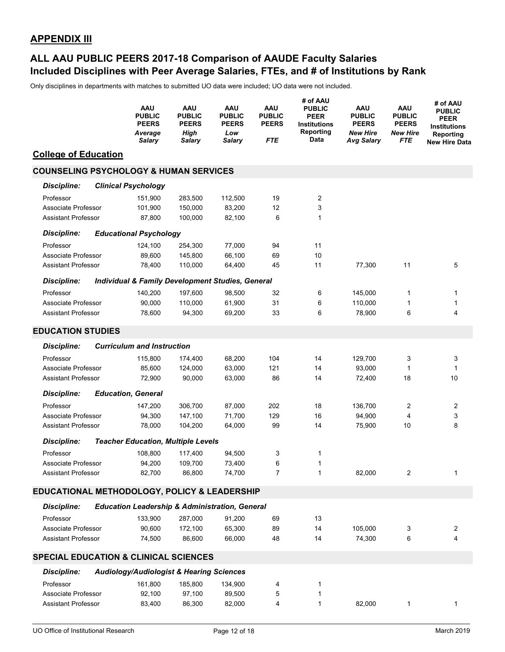### **Included Disciplines with Peer Average Salaries, FTEs, and # of Institutions by Rank ALL AAU PUBLIC PEERS 2017-18 Comparison of AAUDE Faculty Salaries**

|                                                   | <b>AAU</b><br><b>PUBLIC</b><br><b>PEERS</b><br>Average<br>Salary | AAU<br><b>PUBLIC</b><br><b>PEERS</b><br>High<br>Salary | <b>AAU</b><br><b>PUBLIC</b><br><b>PEERS</b><br>Low<br><b>Salary</b> | <b>AAU</b><br><b>PUBLIC</b><br><b>PEERS</b><br>FTE | # of AAU<br><b>PUBLIC</b><br><b>PEER</b><br>Institutions<br>Reporting<br>Data | AAU<br><b>PUBLIC</b><br><b>PEERS</b><br><b>New Hire</b><br><b>Avg Salary</b> | <b>AAU</b><br><b>PUBLIC</b><br><b>PEERS</b><br><b>New Hire</b><br>FTE | # of AAU<br><b>PUBLIC</b><br><b>PEER</b><br><b>Institutions</b><br>Reporting<br><b>New Hire Data</b> |
|---------------------------------------------------|------------------------------------------------------------------|--------------------------------------------------------|---------------------------------------------------------------------|----------------------------------------------------|-------------------------------------------------------------------------------|------------------------------------------------------------------------------|-----------------------------------------------------------------------|------------------------------------------------------------------------------------------------------|
| <b>College of Education</b>                       |                                                                  |                                                        |                                                                     |                                                    |                                                                               |                                                                              |                                                                       |                                                                                                      |
| <b>COUNSELING PSYCHOLOGY &amp; HUMAN SERVICES</b> |                                                                  |                                                        |                                                                     |                                                    |                                                                               |                                                                              |                                                                       |                                                                                                      |
| <b>Discipline:</b>                                | <b>Clinical Psychology</b>                                       |                                                        |                                                                     |                                                    |                                                                               |                                                                              |                                                                       |                                                                                                      |
| Professor                                         | 151,900                                                          | 283,500                                                | 112,500                                                             | 19                                                 | 2                                                                             |                                                                              |                                                                       |                                                                                                      |
| Associate Professor                               | 101,900                                                          | 150,000                                                | 83,200                                                              | 12                                                 | 3                                                                             |                                                                              |                                                                       |                                                                                                      |
| <b>Assistant Professor</b>                        | 87,800                                                           | 100,000                                                | 82,100                                                              | 6                                                  | 1                                                                             |                                                                              |                                                                       |                                                                                                      |
| <b>Discipline:</b>                                | <b>Educational Psychology</b>                                    |                                                        |                                                                     |                                                    |                                                                               |                                                                              |                                                                       |                                                                                                      |
| Professor                                         | 124,100                                                          | 254,300                                                | 77,000                                                              | 94                                                 | 11                                                                            |                                                                              |                                                                       |                                                                                                      |
| Associate Professor                               | 89,600                                                           | 145,800                                                | 66,100                                                              | 69                                                 | 10                                                                            |                                                                              |                                                                       |                                                                                                      |
| <b>Assistant Professor</b>                        | 78,400                                                           | 110,000                                                | 64,400                                                              | 45                                                 | 11                                                                            | 77,300                                                                       | 11                                                                    | 5                                                                                                    |
| <b>Discipline:</b>                                | <b>Individual &amp; Family Development Studies, General</b>      |                                                        |                                                                     |                                                    |                                                                               |                                                                              |                                                                       |                                                                                                      |
| Professor                                         | 140,200                                                          | 197,600                                                | 98,500                                                              | 32                                                 | 6                                                                             | 145,000                                                                      | 1                                                                     | 1                                                                                                    |
| Associate Professor                               | 90,000                                                           | 110,000                                                | 61,900                                                              | 31                                                 | 6                                                                             | 110,000                                                                      | 1                                                                     | 1                                                                                                    |
| <b>Assistant Professor</b>                        | 78.600                                                           | 94,300                                                 | 69,200                                                              | 33                                                 | 6                                                                             | 78,900                                                                       | 6                                                                     | 4                                                                                                    |
| <b>EDUCATION STUDIES</b>                          |                                                                  |                                                        |                                                                     |                                                    |                                                                               |                                                                              |                                                                       |                                                                                                      |
| <b>Discipline:</b>                                | <b>Curriculum and Instruction</b>                                |                                                        |                                                                     |                                                    |                                                                               |                                                                              |                                                                       |                                                                                                      |
| Professor                                         | 115,800                                                          | 174,400                                                | 68,200                                                              | 104                                                | 14                                                                            | 129,700                                                                      | 3                                                                     | 3                                                                                                    |
| Associate Professor                               | 85,600                                                           | 124,000                                                | 63,000                                                              | 121                                                | 14                                                                            | 93,000                                                                       | 1                                                                     | 1                                                                                                    |
| <b>Assistant Professor</b>                        | 72,900                                                           | 90,000                                                 | 63,000                                                              | 86                                                 | 14                                                                            | 72,400                                                                       | 18                                                                    | 10                                                                                                   |
| <b>Discipline:</b>                                | <b>Education, General</b>                                        |                                                        |                                                                     |                                                    |                                                                               |                                                                              |                                                                       |                                                                                                      |
| Professor                                         | 147,200                                                          | 306,700                                                | 87,000                                                              | 202                                                | 18                                                                            | 136,700                                                                      | 2                                                                     | 2                                                                                                    |
| Associate Professor                               | 94,300                                                           | 147,100                                                | 71,700                                                              | 129                                                | 16                                                                            | 94,900                                                                       | 4                                                                     | 3                                                                                                    |
| <b>Assistant Professor</b>                        | 78,000                                                           | 104,200                                                | 64,000                                                              | 99                                                 | 14                                                                            | 75,900                                                                       | 10                                                                    | 8                                                                                                    |
| <b>Discipline:</b>                                | <b>Teacher Education, Multiple Levels</b>                        |                                                        |                                                                     |                                                    |                                                                               |                                                                              |                                                                       |                                                                                                      |
| Professor                                         | 108,800                                                          | 117,400                                                | 94,500                                                              | 3                                                  | 1                                                                             |                                                                              |                                                                       |                                                                                                      |
| Associate Professor                               | 94,200                                                           | 109,700                                                | 73,400                                                              | 6                                                  | 1                                                                             |                                                                              |                                                                       |                                                                                                      |
| <b>Assistant Professor</b>                        | 82,700                                                           | 86,800                                                 | 74,700                                                              | $\overline{7}$                                     | 1                                                                             | 82,000                                                                       | 2                                                                     | 1                                                                                                    |
| EDUCATIONAL METHODOLOGY, POLICY & LEADERSHIP      |                                                                  |                                                        |                                                                     |                                                    |                                                                               |                                                                              |                                                                       |                                                                                                      |
| <b>Discipline:</b>                                | <b>Education Leadership &amp; Administration, General</b>        |                                                        |                                                                     |                                                    |                                                                               |                                                                              |                                                                       |                                                                                                      |
| Professor                                         | 133,900                                                          | 287,000                                                | 91,200                                                              | 69                                                 | 13                                                                            |                                                                              |                                                                       |                                                                                                      |
| Associate Professor                               | 90,600                                                           | 172,100                                                | 65,300                                                              | 89                                                 | 14                                                                            | 105,000                                                                      | 3                                                                     | 2                                                                                                    |
| <b>Assistant Professor</b>                        | 74,500                                                           | 86,600                                                 | 66,000                                                              | 48                                                 | 14                                                                            | 74,300                                                                       | 6                                                                     | 4                                                                                                    |
| <b>SPECIAL EDUCATION &amp; CLINICAL SCIENCES</b>  |                                                                  |                                                        |                                                                     |                                                    |                                                                               |                                                                              |                                                                       |                                                                                                      |
| <b>Discipline:</b>                                | <b>Audiology/Audiologist &amp; Hearing Sciences</b>              |                                                        |                                                                     |                                                    |                                                                               |                                                                              |                                                                       |                                                                                                      |
| Professor                                         | 161,800                                                          | 185,800                                                | 134,900                                                             | 4                                                  | 1                                                                             |                                                                              |                                                                       |                                                                                                      |
| Associate Professor                               | 92,100                                                           | 97,100                                                 | 89,500                                                              | 5                                                  | 1                                                                             |                                                                              |                                                                       |                                                                                                      |
| <b>Assistant Professor</b>                        | 83,400                                                           | 86,300                                                 | 82,000                                                              | 4                                                  | 1                                                                             | 82,000                                                                       | 1                                                                     | 1                                                                                                    |
|                                                   |                                                                  |                                                        |                                                                     |                                                    |                                                                               |                                                                              |                                                                       |                                                                                                      |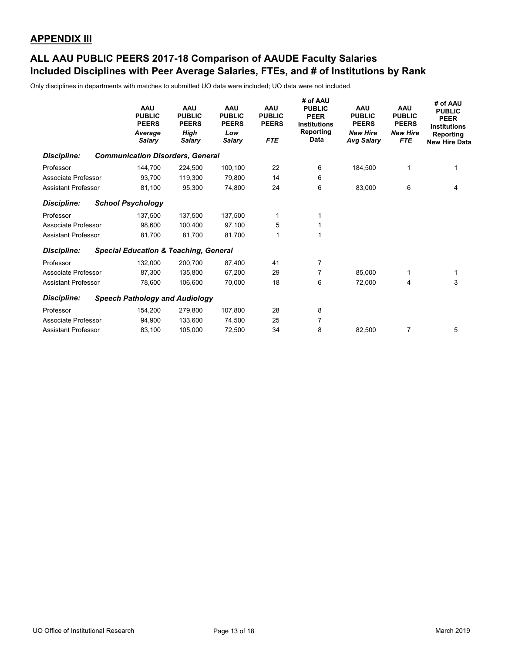### **Included Disciplines with Peer Average Salaries, FTEs, and # of Institutions by Rank ALL AAU PUBLIC PEERS 2017-18 Comparison of AAUDE Faculty Salaries**

|                            |                          | <b>AAU</b><br><b>PUBLIC</b><br><b>PEERS</b><br>Average<br>Salary | <b>AAU</b><br><b>PUBLIC</b><br><b>PEERS</b><br>High<br>Salary | <b>AAU</b><br><b>PUBLIC</b><br><b>PEERS</b><br>Low<br><b>Salary</b> | <b>AAU</b><br><b>PUBLIC</b><br><b>PEERS</b><br><b>FTE</b> | # of AAU<br><b>PUBLIC</b><br><b>PEER</b><br><b>Institutions</b><br>Reporting<br>Data | <b>AAU</b><br><b>PUBLIC</b><br><b>PEERS</b><br><b>New Hire</b><br><b>Avg Salary</b> | <b>AAU</b><br><b>PUBLIC</b><br><b>PEERS</b><br><b>New Hire</b><br><b>FTE</b> | # of AAU<br><b>PUBLIC</b><br><b>PEER</b><br><b>Institutions</b><br>Reporting<br><b>New Hire Data</b> |
|----------------------------|--------------------------|------------------------------------------------------------------|---------------------------------------------------------------|---------------------------------------------------------------------|-----------------------------------------------------------|--------------------------------------------------------------------------------------|-------------------------------------------------------------------------------------|------------------------------------------------------------------------------|------------------------------------------------------------------------------------------------------|
| <b>Discipline:</b>         |                          |                                                                  | <b>Communication Disorders, General</b>                       |                                                                     |                                                           |                                                                                      |                                                                                     |                                                                              |                                                                                                      |
| Professor                  |                          | 144,700                                                          | 224,500                                                       | 100,100                                                             | 22                                                        | 6                                                                                    | 184,500                                                                             |                                                                              |                                                                                                      |
| Associate Professor        |                          | 93,700                                                           | 119,300                                                       | 79,800                                                              | 14                                                        | 6                                                                                    |                                                                                     |                                                                              |                                                                                                      |
| <b>Assistant Professor</b> |                          | 81,100                                                           | 95,300                                                        | 74,800                                                              | 24                                                        | 6                                                                                    | 83,000                                                                              | 6                                                                            | 4                                                                                                    |
| <b>Discipline:</b>         | <b>School Psychology</b> |                                                                  |                                                               |                                                                     |                                                           |                                                                                      |                                                                                     |                                                                              |                                                                                                      |
| Professor                  |                          | 137,500                                                          | 137,500                                                       | 137,500                                                             | 1                                                         |                                                                                      |                                                                                     |                                                                              |                                                                                                      |
| Associate Professor        |                          | 98,600                                                           | 100.400                                                       | 97,100                                                              | 5                                                         |                                                                                      |                                                                                     |                                                                              |                                                                                                      |
| <b>Assistant Professor</b> |                          | 81,700                                                           | 81,700                                                        | 81,700                                                              |                                                           |                                                                                      |                                                                                     |                                                                              |                                                                                                      |
| <b>Discipline:</b>         |                          |                                                                  | <b>Special Education &amp; Teaching, General</b>              |                                                                     |                                                           |                                                                                      |                                                                                     |                                                                              |                                                                                                      |
| Professor                  |                          | 132,000                                                          | 200.700                                                       | 87,400                                                              | 41                                                        | $\overline{7}$                                                                       |                                                                                     |                                                                              |                                                                                                      |
| Associate Professor        |                          | 87,300                                                           | 135,800                                                       | 67,200                                                              | 29                                                        | 7                                                                                    | 85,000                                                                              |                                                                              | 1                                                                                                    |
| <b>Assistant Professor</b> |                          | 78,600                                                           | 106,600                                                       | 70,000                                                              | 18                                                        | 6                                                                                    | 72,000                                                                              | 4                                                                            | 3                                                                                                    |
| Discipline:                |                          |                                                                  | <b>Speech Pathology and Audiology</b>                         |                                                                     |                                                           |                                                                                      |                                                                                     |                                                                              |                                                                                                      |
| Professor                  |                          | 154,200                                                          | 279,800                                                       | 107,800                                                             | 28                                                        | 8                                                                                    |                                                                                     |                                                                              |                                                                                                      |
| Associate Professor        |                          | 94,900                                                           | 133.600                                                       | 74,500                                                              | 25                                                        | $\overline{7}$                                                                       |                                                                                     |                                                                              |                                                                                                      |
| <b>Assistant Professor</b> |                          | 83,100                                                           | 105,000                                                       | 72,500                                                              | 34                                                        | 8                                                                                    | 82,500                                                                              | 7                                                                            | 5                                                                                                    |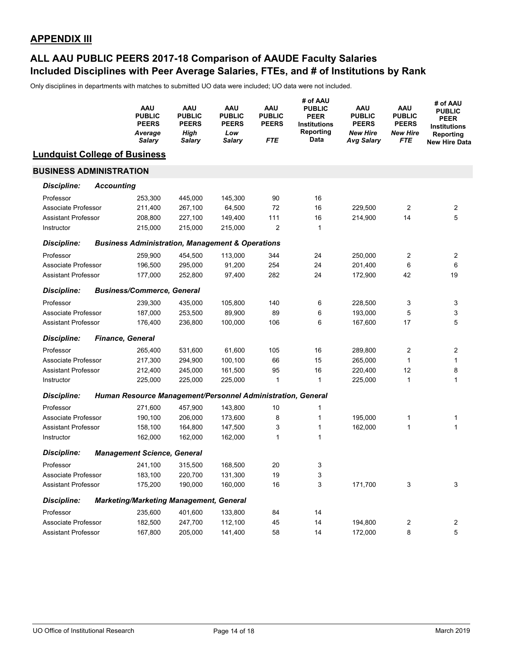### **Included Disciplines with Peer Average Salaries, FTEs, and # of Institutions by Rank ALL AAU PUBLIC PEERS 2017-18 Comparison of AAUDE Faculty Salaries**

|                                      |                   | <b>AAU</b><br><b>PUBLIC</b><br><b>PEERS</b><br>Average<br>Salary | <b>AAU</b><br><b>PUBLIC</b><br><b>PEERS</b><br><b>High</b><br><b>Salary</b> | AAU<br><b>PUBLIC</b><br><b>PEERS</b><br>Low<br><b>Salary</b> | AAU<br><b>PUBLIC</b><br><b>PEERS</b><br><b>FTE</b> | # of AAU<br><b>PUBLIC</b><br><b>PEER</b><br><b>Institutions</b><br>Reporting<br>Data | AAU<br><b>PUBLIC</b><br><b>PEERS</b><br><b>New Hire</b><br>Avg Salary | AAU<br><b>PUBLIC</b><br><b>PEERS</b><br><b>New Hire</b><br>FTE | # of AAU<br><b>PUBLIC</b><br><b>PEER</b><br><b>Institutions</b><br>Reporting<br><b>New Hire Data</b> |
|--------------------------------------|-------------------|------------------------------------------------------------------|-----------------------------------------------------------------------------|--------------------------------------------------------------|----------------------------------------------------|--------------------------------------------------------------------------------------|-----------------------------------------------------------------------|----------------------------------------------------------------|------------------------------------------------------------------------------------------------------|
| <b>Lundquist College of Business</b> |                   |                                                                  |                                                                             |                                                              |                                                    |                                                                                      |                                                                       |                                                                |                                                                                                      |
| <b>BUSINESS ADMINISTRATION</b>       |                   |                                                                  |                                                                             |                                                              |                                                    |                                                                                      |                                                                       |                                                                |                                                                                                      |
| <b>Discipline:</b>                   | <b>Accounting</b> |                                                                  |                                                                             |                                                              |                                                    |                                                                                      |                                                                       |                                                                |                                                                                                      |
| Professor                            |                   | 253,300                                                          | 445,000                                                                     | 145,300                                                      | 90                                                 | 16                                                                                   |                                                                       |                                                                |                                                                                                      |
| Associate Professor                  |                   | 211,400                                                          | 267,100                                                                     | 64,500                                                       | 72                                                 | 16                                                                                   | 229,500                                                               | 2                                                              | 2                                                                                                    |
| <b>Assistant Professor</b>           |                   | 208,800                                                          | 227,100                                                                     | 149,400                                                      | 111                                                | 16                                                                                   | 214,900                                                               | 14                                                             | 5                                                                                                    |
| Instructor                           |                   | 215,000                                                          | 215,000                                                                     | 215,000                                                      | $\overline{2}$                                     | 1                                                                                    |                                                                       |                                                                |                                                                                                      |
| <b>Discipline:</b>                   |                   | <b>Business Administration, Management &amp; Operations</b>      |                                                                             |                                                              |                                                    |                                                                                      |                                                                       |                                                                |                                                                                                      |
| Professor                            |                   | 259,900                                                          | 454,500                                                                     | 113,000                                                      | 344                                                | 24                                                                                   | 250,000                                                               | 2                                                              | 2                                                                                                    |
| Associate Professor                  |                   | 196,500                                                          | 295,000                                                                     | 91,200                                                       | 254                                                | 24                                                                                   | 201,400                                                               | 6                                                              | 6                                                                                                    |
| <b>Assistant Professor</b>           |                   | 177,000                                                          | 252,800                                                                     | 97,400                                                       | 282                                                | 24                                                                                   | 172,900                                                               | 42                                                             | 19                                                                                                   |
| <b>Discipline:</b>                   |                   | <b>Business/Commerce, General</b>                                |                                                                             |                                                              |                                                    |                                                                                      |                                                                       |                                                                |                                                                                                      |
| Professor                            |                   | 239,300                                                          | 435,000                                                                     | 105,800                                                      | 140                                                | 6                                                                                    | 228,500                                                               | 3                                                              | 3                                                                                                    |
| Associate Professor                  |                   | 187,000                                                          | 253,500                                                                     | 89,900                                                       | 89                                                 | 6                                                                                    | 193,000                                                               | 5                                                              | 3                                                                                                    |
| <b>Assistant Professor</b>           |                   | 176,400                                                          | 236,800                                                                     | 100,000                                                      | 106                                                | 6                                                                                    | 167,600                                                               | 17                                                             | 5                                                                                                    |
| <b>Discipline:</b>                   |                   | <b>Finance, General</b>                                          |                                                                             |                                                              |                                                    |                                                                                      |                                                                       |                                                                |                                                                                                      |
| Professor                            |                   | 265,400                                                          | 531,600                                                                     | 61,600                                                       | 105                                                | 16                                                                                   | 289,800                                                               | 2                                                              | 2                                                                                                    |
| Associate Professor                  |                   | 217,300                                                          | 294,900                                                                     | 100,100                                                      | 66                                                 | 15                                                                                   | 265,000                                                               | 1                                                              | 1                                                                                                    |
| <b>Assistant Professor</b>           |                   | 212,400                                                          | 245,000                                                                     | 161,500                                                      | 95                                                 | 16                                                                                   | 220,400                                                               | 12                                                             | 8                                                                                                    |
| Instructor                           |                   | 225,000                                                          | 225,000                                                                     | 225,000                                                      | $\mathbf{1}$                                       | 1                                                                                    | 225,000                                                               | 1                                                              | 1                                                                                                    |
| <b>Discipline:</b>                   |                   | Human Resource Management/Personnel Administration, General      |                                                                             |                                                              |                                                    |                                                                                      |                                                                       |                                                                |                                                                                                      |
| Professor                            |                   | 271,600                                                          | 457,900                                                                     | 143,800                                                      | 10                                                 | 1                                                                                    |                                                                       |                                                                |                                                                                                      |
| Associate Professor                  |                   | 190,100                                                          | 206,000                                                                     | 173,600                                                      | 8                                                  | 1                                                                                    | 195,000                                                               | 1                                                              | 1                                                                                                    |
| <b>Assistant Professor</b>           |                   | 158,100                                                          | 164,800                                                                     | 147,500                                                      | 3                                                  | 1                                                                                    | 162,000                                                               | 1                                                              | 1                                                                                                    |
| Instructor                           |                   | 162,000                                                          | 162,000                                                                     | 162,000                                                      | $\mathbf{1}$                                       | 1                                                                                    |                                                                       |                                                                |                                                                                                      |
| <b>Discipline:</b>                   |                   | <b>Management Science, General</b>                               |                                                                             |                                                              |                                                    |                                                                                      |                                                                       |                                                                |                                                                                                      |
| Professor                            |                   |                                                                  | 241,100 315,500                                                             | 168,500                                                      | 20                                                 | 3                                                                                    |                                                                       |                                                                |                                                                                                      |
| Associate Professor                  |                   | 183,100                                                          | 220,700                                                                     | 131,300                                                      | 19                                                 | 3                                                                                    |                                                                       |                                                                |                                                                                                      |
| <b>Assistant Professor</b>           |                   | 175,200                                                          | 190,000                                                                     | 160,000                                                      | $16\,$                                             | 3                                                                                    | 171,700                                                               | 3                                                              | 3                                                                                                    |
| <b>Discipline:</b>                   |                   | <b>Marketing/Marketing Management, General</b>                   |                                                                             |                                                              |                                                    |                                                                                      |                                                                       |                                                                |                                                                                                      |
| Professor                            |                   | 235,600                                                          | 401,600                                                                     | 133,800                                                      | 84                                                 | 14                                                                                   |                                                                       |                                                                |                                                                                                      |
| Associate Professor                  |                   | 182,500                                                          | 247,700                                                                     | 112,100                                                      | 45                                                 | 14                                                                                   | 194,800                                                               | 2                                                              | 2                                                                                                    |
| Assistant Professor                  |                   | 167,800                                                          | 205,000                                                                     | 141,400                                                      | 58                                                 | 14                                                                                   | 172,000                                                               | 8                                                              | 5                                                                                                    |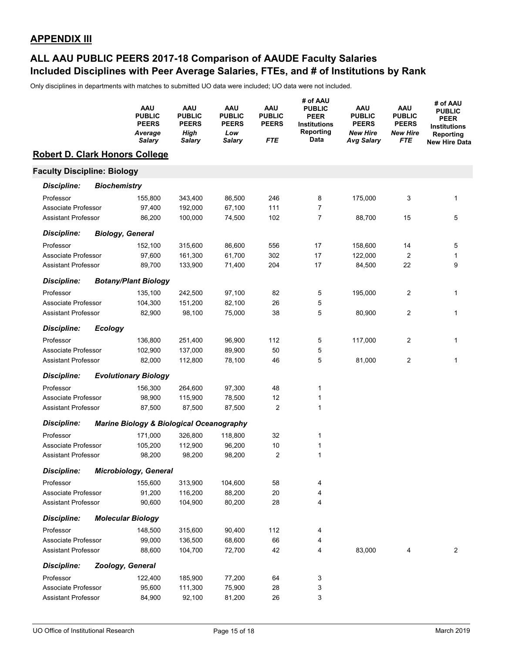### **Included Disciplines with Peer Average Salaries, FTEs, and # of Institutions by Rank ALL AAU PUBLIC PEERS 2017-18 Comparison of AAUDE Faculty Salaries**

|                                       |                     | AAU<br><b>PUBLIC</b><br><b>PEERS</b><br>Average<br>Salary | <b>AAU</b><br><b>PUBLIC</b><br><b>PEERS</b><br>High<br><b>Salary</b> | <b>AAU</b><br><b>PUBLIC</b><br><b>PEERS</b><br>Low<br><b>Salary</b> | <b>AAU</b><br><b>PUBLIC</b><br><b>PEERS</b><br>FTE | # of AAU<br><b>PUBLIC</b><br><b>PEER</b><br><b>Institutions</b><br>Reporting<br>Data | <b>AAU</b><br><b>PUBLIC</b><br><b>PEERS</b><br><b>New Hire</b><br><b>Avg Salary</b> | AAU<br><b>PUBLIC</b><br><b>PEERS</b><br><b>New Hire</b><br>FTE | # of AAU<br><b>PUBLIC</b><br><b>PEER</b><br><b>Institutions</b><br>Reporting<br><b>New Hire Data</b> |
|---------------------------------------|---------------------|-----------------------------------------------------------|----------------------------------------------------------------------|---------------------------------------------------------------------|----------------------------------------------------|--------------------------------------------------------------------------------------|-------------------------------------------------------------------------------------|----------------------------------------------------------------|------------------------------------------------------------------------------------------------------|
| <b>Robert D. Clark Honors College</b> |                     |                                                           |                                                                      |                                                                     |                                                    |                                                                                      |                                                                                     |                                                                |                                                                                                      |
| <b>Faculty Discipline: Biology</b>    |                     |                                                           |                                                                      |                                                                     |                                                    |                                                                                      |                                                                                     |                                                                |                                                                                                      |
| <b>Discipline:</b>                    | <b>Biochemistry</b> |                                                           |                                                                      |                                                                     |                                                    |                                                                                      |                                                                                     |                                                                |                                                                                                      |
| Professor                             |                     | 155,800                                                   | 343,400                                                              | 86,500                                                              | 246                                                | 8                                                                                    | 175,000                                                                             | 3                                                              | 1                                                                                                    |
| Associate Professor                   |                     | 97,400                                                    | 192,000                                                              | 67,100                                                              | 111                                                | 7                                                                                    |                                                                                     |                                                                |                                                                                                      |
| <b>Assistant Professor</b>            |                     | 86,200                                                    | 100,000                                                              | 74,500                                                              | 102                                                | $\overline{7}$                                                                       | 88,700                                                                              | 15                                                             | 5                                                                                                    |
| <b>Discipline:</b>                    |                     | <b>Biology, General</b>                                   |                                                                      |                                                                     |                                                    |                                                                                      |                                                                                     |                                                                |                                                                                                      |
| Professor                             |                     | 152,100                                                   | 315,600                                                              | 86,600                                                              | 556                                                | 17                                                                                   | 158,600                                                                             | 14                                                             | 5                                                                                                    |
| Associate Professor                   |                     | 97,600                                                    | 161,300                                                              | 61,700                                                              | 302                                                | 17                                                                                   | 122,000                                                                             | $\overline{2}$                                                 | 1                                                                                                    |
| Assistant Professor                   |                     | 89,700                                                    | 133,900                                                              | 71,400                                                              | 204                                                | 17                                                                                   | 84,500                                                                              | 22                                                             | 9                                                                                                    |
| <b>Discipline:</b>                    |                     | <b>Botany/Plant Biology</b>                               |                                                                      |                                                                     |                                                    |                                                                                      |                                                                                     |                                                                |                                                                                                      |
| Professor                             |                     | 135,100                                                   | 242,500                                                              | 97,100                                                              | 82                                                 | 5                                                                                    | 195,000                                                                             | $\overline{2}$                                                 | 1                                                                                                    |
| Associate Professor                   |                     | 104,300                                                   | 151,200                                                              | 82,100                                                              | 26                                                 | 5                                                                                    |                                                                                     |                                                                |                                                                                                      |
| <b>Assistant Professor</b>            |                     | 82,900                                                    | 98,100                                                               | 75,000                                                              | 38                                                 | 5                                                                                    | 80,900                                                                              | $\overline{c}$                                                 | 1                                                                                                    |
| <b>Discipline:</b>                    | <b>Ecology</b>      |                                                           |                                                                      |                                                                     |                                                    |                                                                                      |                                                                                     |                                                                |                                                                                                      |
| Professor                             |                     | 136,800                                                   | 251,400                                                              | 96,900                                                              | 112                                                | 5                                                                                    | 117,000                                                                             | 2                                                              | 1                                                                                                    |
| Associate Professor                   |                     | 102,900                                                   | 137,000                                                              | 89,900                                                              | 50                                                 | 5                                                                                    |                                                                                     |                                                                |                                                                                                      |
| <b>Assistant Professor</b>            |                     | 82,000                                                    | 112,800                                                              | 78,100                                                              | 46                                                 | 5                                                                                    | 81,000                                                                              | 2                                                              | 1                                                                                                    |
| <b>Discipline:</b>                    |                     | <b>Evolutionary Biology</b>                               |                                                                      |                                                                     |                                                    |                                                                                      |                                                                                     |                                                                |                                                                                                      |
| Professor                             |                     | 156,300                                                   | 264,600                                                              | 97,300                                                              | 48                                                 | 1                                                                                    |                                                                                     |                                                                |                                                                                                      |
| Associate Professor                   |                     | 98,900                                                    | 115,900                                                              | 78,500                                                              | 12                                                 | 1                                                                                    |                                                                                     |                                                                |                                                                                                      |
| <b>Assistant Professor</b>            |                     | 87,500                                                    | 87,500                                                               | 87,500                                                              | 2                                                  | $\mathbf{1}$                                                                         |                                                                                     |                                                                |                                                                                                      |
| <b>Discipline:</b>                    |                     | <b>Marine Biology &amp; Biological Oceanography</b>       |                                                                      |                                                                     |                                                    |                                                                                      |                                                                                     |                                                                |                                                                                                      |
| Professor                             |                     | 171,000                                                   | 326,800                                                              | 118,800                                                             | 32                                                 | 1                                                                                    |                                                                                     |                                                                |                                                                                                      |
| Associate Professor                   |                     | 105,200                                                   | 112,900                                                              | 96,200                                                              | 10                                                 | 1                                                                                    |                                                                                     |                                                                |                                                                                                      |
| <b>Assistant Professor</b>            |                     | 98,200                                                    | 98,200                                                               | 98,200                                                              | $\overline{2}$                                     | 1                                                                                    |                                                                                     |                                                                |                                                                                                      |
| <b>Discipline:</b>                    |                     | <b>Microbiology, General</b>                              |                                                                      |                                                                     |                                                    |                                                                                      |                                                                                     |                                                                |                                                                                                      |
| Professor                             |                     | 155,600                                                   | 313,900                                                              | 104,600                                                             | 58                                                 | 4                                                                                    |                                                                                     |                                                                |                                                                                                      |
| Associate Professor                   |                     | 91,200                                                    | 116,200                                                              | 88,200                                                              | 20                                                 | 4                                                                                    |                                                                                     |                                                                |                                                                                                      |
| <b>Assistant Professor</b>            |                     | 90,600                                                    | 104,900                                                              | 80,200                                                              | 28                                                 | 4                                                                                    |                                                                                     |                                                                |                                                                                                      |
| <b>Discipline:</b>                    |                     | <b>Molecular Biology</b>                                  |                                                                      |                                                                     |                                                    |                                                                                      |                                                                                     |                                                                |                                                                                                      |
| Professor                             |                     | 148,500                                                   | 315,600                                                              | 90,400                                                              | 112                                                | 4                                                                                    |                                                                                     |                                                                |                                                                                                      |
| Associate Professor                   |                     | 99,000                                                    | 136,500                                                              | 68,600                                                              | 66                                                 | 4                                                                                    |                                                                                     |                                                                |                                                                                                      |
| <b>Assistant Professor</b>            |                     | 88,600                                                    | 104,700                                                              | 72,700                                                              | 42                                                 | 4                                                                                    | 83,000                                                                              | 4                                                              | 2                                                                                                    |
| <b>Discipline:</b>                    |                     | Zoology, General                                          |                                                                      |                                                                     |                                                    |                                                                                      |                                                                                     |                                                                |                                                                                                      |
| Professor                             |                     | 122,400                                                   | 185,900                                                              | 77,200                                                              | 64                                                 | 3                                                                                    |                                                                                     |                                                                |                                                                                                      |
| Associate Professor                   |                     | 95,600                                                    | 111,300                                                              | 75,900                                                              | 28                                                 | 3                                                                                    |                                                                                     |                                                                |                                                                                                      |
| Assistant Professor                   |                     | 84,900                                                    | 92,100                                                               | 81,200                                                              | 26                                                 | 3                                                                                    |                                                                                     |                                                                |                                                                                                      |
|                                       |                     |                                                           |                                                                      |                                                                     |                                                    |                                                                                      |                                                                                     |                                                                |                                                                                                      |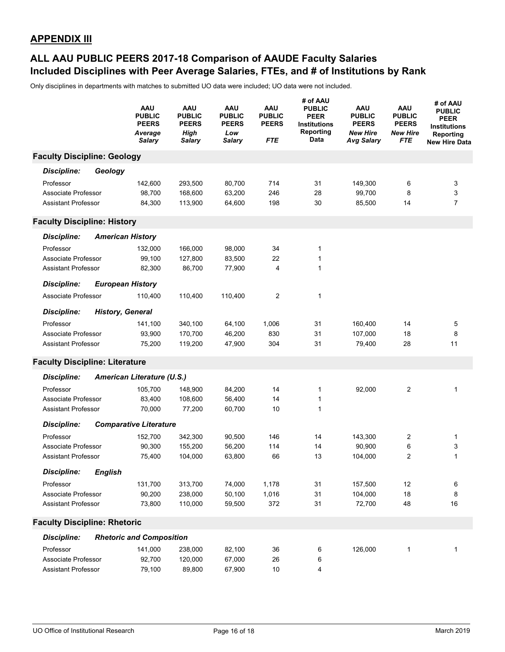### **Included Disciplines with Peer Average Salaries, FTEs, and # of Institutions by Rank ALL AAU PUBLIC PEERS 2017-18 Comparison of AAUDE Faculty Salaries**

|                                       |                | <b>AAU</b><br><b>PUBLIC</b><br><b>PEERS</b><br>Average<br><b>Salary</b> | AAU<br><b>PUBLIC</b><br><b>PEERS</b><br>High<br><b>Salary</b> | AAU<br><b>PUBLIC</b><br><b>PEERS</b><br>Low<br><b>Salary</b> | AAU<br><b>PUBLIC</b><br><b>PEERS</b><br>FTE | # of AAU<br><b>PUBLIC</b><br><b>PEER</b><br><b>Institutions</b><br>Reporting<br>Data | <b>AAU</b><br><b>PUBLIC</b><br><b>PEERS</b><br><b>New Hire</b><br>Avg Salary | <b>AAU</b><br><b>PUBLIC</b><br><b>PEERS</b><br><b>New Hire</b><br>FTE | # of AAU<br><b>PUBLIC</b><br><b>PEER</b><br><b>Institutions</b><br>Reporting<br><b>New Hire Data</b> |
|---------------------------------------|----------------|-------------------------------------------------------------------------|---------------------------------------------------------------|--------------------------------------------------------------|---------------------------------------------|--------------------------------------------------------------------------------------|------------------------------------------------------------------------------|-----------------------------------------------------------------------|------------------------------------------------------------------------------------------------------|
| <b>Faculty Discipline: Geology</b>    |                |                                                                         |                                                               |                                                              |                                             |                                                                                      |                                                                              |                                                                       |                                                                                                      |
| <b>Discipline:</b>                    | Geology        |                                                                         |                                                               |                                                              |                                             |                                                                                      |                                                                              |                                                                       |                                                                                                      |
| Professor                             |                | 142,600                                                                 | 293,500                                                       | 80,700                                                       | 714                                         | 31                                                                                   | 149,300                                                                      | 6                                                                     | 3                                                                                                    |
| Associate Professor                   |                | 98,700                                                                  | 168,600                                                       | 63,200                                                       | 246                                         | 28                                                                                   | 99,700                                                                       | 8                                                                     | 3                                                                                                    |
| <b>Assistant Professor</b>            |                | 84,300                                                                  | 113,900                                                       | 64,600                                                       | 198                                         | 30                                                                                   | 85,500                                                                       | 14                                                                    | $\overline{7}$                                                                                       |
| <b>Faculty Discipline: History</b>    |                |                                                                         |                                                               |                                                              |                                             |                                                                                      |                                                                              |                                                                       |                                                                                                      |
| <b>Discipline:</b>                    |                | <b>American History</b>                                                 |                                                               |                                                              |                                             |                                                                                      |                                                                              |                                                                       |                                                                                                      |
| Professor                             |                | 132,000                                                                 | 166,000                                                       | 98,000                                                       | 34                                          | 1                                                                                    |                                                                              |                                                                       |                                                                                                      |
| Associate Professor                   |                | 99,100                                                                  | 127,800                                                       | 83,500                                                       | 22                                          | 1                                                                                    |                                                                              |                                                                       |                                                                                                      |
| <b>Assistant Professor</b>            |                | 82,300                                                                  | 86,700                                                        | 77,900                                                       | 4                                           | $\mathbf{1}$                                                                         |                                                                              |                                                                       |                                                                                                      |
| <b>Discipline:</b>                    |                | <b>European History</b>                                                 |                                                               |                                                              |                                             |                                                                                      |                                                                              |                                                                       |                                                                                                      |
| Associate Professor                   |                | 110,400                                                                 | 110,400                                                       | 110,400                                                      | 2                                           | 1                                                                                    |                                                                              |                                                                       |                                                                                                      |
| <b>Discipline:</b>                    |                | <b>History, General</b>                                                 |                                                               |                                                              |                                             |                                                                                      |                                                                              |                                                                       |                                                                                                      |
| Professor                             |                | 141,100                                                                 | 340,100                                                       | 64,100                                                       | 1,006                                       | 31                                                                                   | 160,400                                                                      | 14                                                                    | 5                                                                                                    |
| Associate Professor                   |                | 93,900                                                                  | 170,700                                                       | 46,200                                                       | 830                                         | 31                                                                                   | 107,000                                                                      | 18                                                                    | 8                                                                                                    |
| <b>Assistant Professor</b>            |                | 75,200                                                                  | 119,200                                                       | 47,900                                                       | 304                                         | 31                                                                                   | 79,400                                                                       | 28                                                                    | 11                                                                                                   |
| <b>Faculty Discipline: Literature</b> |                |                                                                         |                                                               |                                                              |                                             |                                                                                      |                                                                              |                                                                       |                                                                                                      |
| <b>Discipline:</b>                    |                | American Literature (U.S.)                                              |                                                               |                                                              |                                             |                                                                                      |                                                                              |                                                                       |                                                                                                      |
| Professor                             |                | 105,700                                                                 | 148,900                                                       | 84,200                                                       | 14                                          | 1                                                                                    | 92,000                                                                       | 2                                                                     | 1                                                                                                    |
| Associate Professor                   |                | 83,400                                                                  | 108,600                                                       | 56,400                                                       | 14                                          | 1                                                                                    |                                                                              |                                                                       |                                                                                                      |
| <b>Assistant Professor</b>            |                | 70,000                                                                  | 77,200                                                        | 60,700                                                       | 10                                          | $\mathbf{1}$                                                                         |                                                                              |                                                                       |                                                                                                      |
| <b>Discipline:</b>                    |                | <b>Comparative Literature</b>                                           |                                                               |                                                              |                                             |                                                                                      |                                                                              |                                                                       |                                                                                                      |
| Professor                             |                | 152,700                                                                 | 342,300                                                       | 90,500                                                       | 146                                         | 14                                                                                   | 143,300                                                                      | 2                                                                     | 1                                                                                                    |
| Associate Professor                   |                | 90,300                                                                  | 155,200                                                       | 56,200                                                       | 114                                         | 14                                                                                   | 90,900                                                                       | 6                                                                     | 3                                                                                                    |
| <b>Assistant Professor</b>            |                | 75,400                                                                  | 104,000                                                       | 63,800                                                       | 66                                          | 13                                                                                   | 104,000                                                                      | 2                                                                     | 1                                                                                                    |
| <b>Discipline:</b>                    | <b>English</b> |                                                                         |                                                               |                                                              |                                             |                                                                                      |                                                                              |                                                                       |                                                                                                      |
| Professor                             |                | 131,700                                                                 | 313,700                                                       | 74,000                                                       | 1,178                                       | 31                                                                                   | 157,500                                                                      | 12                                                                    | 6                                                                                                    |
| Associate Professor                   |                | 90,200                                                                  | 238,000                                                       | 50,100                                                       | 1,016                                       | 31                                                                                   | 104,000                                                                      | 18                                                                    | 8                                                                                                    |
| <b>Assistant Professor</b>            |                | 73,800                                                                  | 110,000                                                       | 59,500                                                       | 372                                         | 31                                                                                   | 72,700                                                                       | 48                                                                    | 16                                                                                                   |
| <b>Faculty Discipline: Rhetoric</b>   |                |                                                                         |                                                               |                                                              |                                             |                                                                                      |                                                                              |                                                                       |                                                                                                      |
| <b>Discipline:</b>                    |                | <b>Rhetoric and Composition</b>                                         |                                                               |                                                              |                                             |                                                                                      |                                                                              |                                                                       |                                                                                                      |
| Professor                             |                | 141,000                                                                 | 238,000                                                       | 82,100                                                       | 36                                          | 6                                                                                    | 126,000                                                                      | $\mathbf{1}$                                                          | 1                                                                                                    |
| Associate Professor                   |                | 92,700                                                                  | 120,000                                                       | 67,000                                                       | 26                                          | 6                                                                                    |                                                                              |                                                                       |                                                                                                      |
| Assistant Professor                   |                | 79,100                                                                  | 89,800                                                        | 67,900                                                       | 10                                          | 4                                                                                    |                                                                              |                                                                       |                                                                                                      |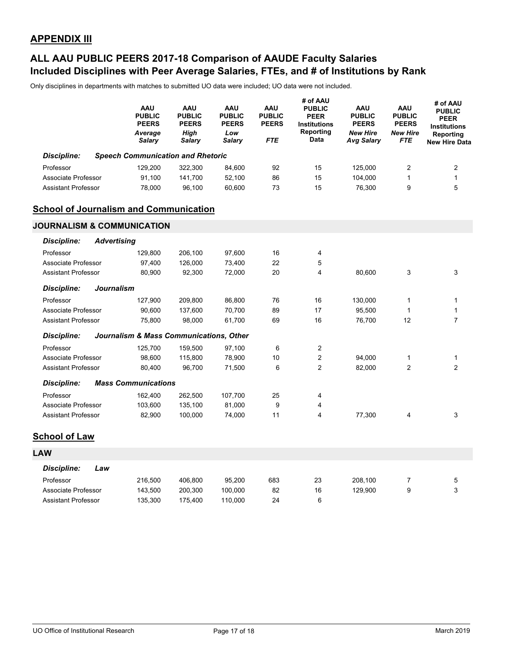### **Included Disciplines with Peer Average Salaries, FTEs, and # of Institutions by Rank ALL AAU PUBLIC PEERS 2017-18 Comparison of AAUDE Faculty Salaries**

|                                               | AAU<br><b>PUBLIC</b><br><b>PEERS</b><br>Average<br><b>Salary</b> | AAU<br><b>PUBLIC</b><br><b>PEERS</b><br>High<br><b>Salary</b> | <b>AAU</b><br><b>PUBLIC</b><br><b>PEERS</b><br>Low<br><b>Salary</b> | <b>AAU</b><br><b>PUBLIC</b><br><b>PEERS</b><br><b>FTE</b> | # of AAU<br><b>PUBLIC</b><br><b>PEER</b><br><b>Institutions</b><br>Reporting<br>Data | AAU<br><b>PUBLIC</b><br><b>PEERS</b><br><b>New Hire</b><br><b>Avg Salary</b> | <b>AAU</b><br><b>PUBLIC</b><br><b>PEERS</b><br><b>New Hire</b><br><b>FTE</b> | # of AAU<br><b>PUBLIC</b><br><b>PEER</b><br><b>Institutions</b><br>Reporting<br><b>New Hire Data</b> |
|-----------------------------------------------|------------------------------------------------------------------|---------------------------------------------------------------|---------------------------------------------------------------------|-----------------------------------------------------------|--------------------------------------------------------------------------------------|------------------------------------------------------------------------------|------------------------------------------------------------------------------|------------------------------------------------------------------------------------------------------|
| <b>Discipline:</b>                            | <b>Speech Communication and Rhetoric</b>                         |                                                               |                                                                     |                                                           |                                                                                      |                                                                              |                                                                              |                                                                                                      |
| Professor                                     | 129,200                                                          | 322,300                                                       | 84,600                                                              | 92                                                        | 15                                                                                   | 125,000                                                                      | $\overline{2}$                                                               | $\overline{c}$                                                                                       |
| Associate Professor                           | 91,100                                                           | 141,700                                                       | 52,100                                                              | 86                                                        | 15                                                                                   | 104,000                                                                      | 1                                                                            | 1                                                                                                    |
| <b>Assistant Professor</b>                    | 78,000                                                           | 96,100                                                        | 60,600                                                              | 73                                                        | 15                                                                                   | 76,300                                                                       | 9                                                                            | 5                                                                                                    |
| <b>School of Journalism and Communication</b> |                                                                  |                                                               |                                                                     |                                                           |                                                                                      |                                                                              |                                                                              |                                                                                                      |
| <b>JOURNALISM &amp; COMMUNICATION</b>         |                                                                  |                                                               |                                                                     |                                                           |                                                                                      |                                                                              |                                                                              |                                                                                                      |
| <b>Discipline:</b>                            | <b>Advertising</b>                                               |                                                               |                                                                     |                                                           |                                                                                      |                                                                              |                                                                              |                                                                                                      |
| Professor                                     | 129,800                                                          | 206,100                                                       | 97,600                                                              | 16                                                        | 4                                                                                    |                                                                              |                                                                              |                                                                                                      |
| Associate Professor                           | 97,400                                                           | 126,000                                                       | 73,400                                                              | 22                                                        | 5                                                                                    |                                                                              |                                                                              |                                                                                                      |
| <b>Assistant Professor</b>                    | 80,900                                                           | 92,300                                                        | 72,000                                                              | 20                                                        | 4                                                                                    | 80,600                                                                       | 3                                                                            | 3                                                                                                    |
| <b>Discipline:</b>                            | <b>Journalism</b>                                                |                                                               |                                                                     |                                                           |                                                                                      |                                                                              |                                                                              |                                                                                                      |
| Professor                                     | 127,900                                                          | 209,800                                                       | 86,800                                                              | 76                                                        | 16                                                                                   | 130,000                                                                      | $\mathbf{1}$                                                                 | $\mathbf{1}$                                                                                         |
| Associate Professor                           | 90,600                                                           | 137,600                                                       | 70,700                                                              | 89                                                        | 17                                                                                   | 95,500                                                                       | $\mathbf 1$                                                                  | 1                                                                                                    |
| <b>Assistant Professor</b>                    | 75,800                                                           | 98,000                                                        | 61,700                                                              | 69                                                        | 16                                                                                   | 76,700                                                                       | 12                                                                           | $\overline{7}$                                                                                       |
| <b>Discipline:</b>                            | Journalism & Mass Communications, Other                          |                                                               |                                                                     |                                                           |                                                                                      |                                                                              |                                                                              |                                                                                                      |
| Professor                                     | 125,700                                                          | 159,500                                                       | 97,100                                                              | 6                                                         | $\overline{2}$                                                                       |                                                                              |                                                                              |                                                                                                      |
| Associate Professor                           | 98,600                                                           | 115,800                                                       | 78,900                                                              | 10                                                        | $\overline{2}$                                                                       | 94,000                                                                       | 1                                                                            | 1                                                                                                    |
| <b>Assistant Professor</b>                    | 80,400                                                           | 96,700                                                        | 71,500                                                              | 6                                                         | 2                                                                                    | 82,000                                                                       | $\overline{2}$                                                               | $\overline{2}$                                                                                       |
| Discipline:                                   | <b>Mass Communications</b>                                       |                                                               |                                                                     |                                                           |                                                                                      |                                                                              |                                                                              |                                                                                                      |
| Professor                                     | 162,400                                                          | 262,500                                                       | 107,700                                                             | 25                                                        | 4                                                                                    |                                                                              |                                                                              |                                                                                                      |
| Associate Professor                           | 103,600                                                          | 135,100                                                       | 81,000                                                              | 9                                                         | 4                                                                                    |                                                                              |                                                                              |                                                                                                      |
| <b>Assistant Professor</b>                    | 82,900                                                           | 100,000                                                       | 74,000                                                              | 11                                                        | 4                                                                                    | 77,300                                                                       | 4                                                                            | 3                                                                                                    |
| <b>School of Law</b>                          |                                                                  |                                                               |                                                                     |                                                           |                                                                                      |                                                                              |                                                                              |                                                                                                      |
| <b>LAW</b>                                    |                                                                  |                                                               |                                                                     |                                                           |                                                                                      |                                                                              |                                                                              |                                                                                                      |
| <b>Discipline:</b><br>Law                     |                                                                  |                                                               |                                                                     |                                                           |                                                                                      |                                                                              |                                                                              |                                                                                                      |
| Professor                                     | 216,500                                                          | 406,800                                                       | 95,200                                                              | 683                                                       | 23                                                                                   | 208,100                                                                      | 7                                                                            | 5                                                                                                    |
| Associate Professor                           | 143,500                                                          | 200,300                                                       | 100,000                                                             | 82                                                        | 16                                                                                   | 129,900                                                                      | 9                                                                            | 3                                                                                                    |
| Assistant Professor                           | 135,300                                                          | 175,400                                                       | 110,000                                                             | 24                                                        | 6                                                                                    |                                                                              |                                                                              |                                                                                                      |